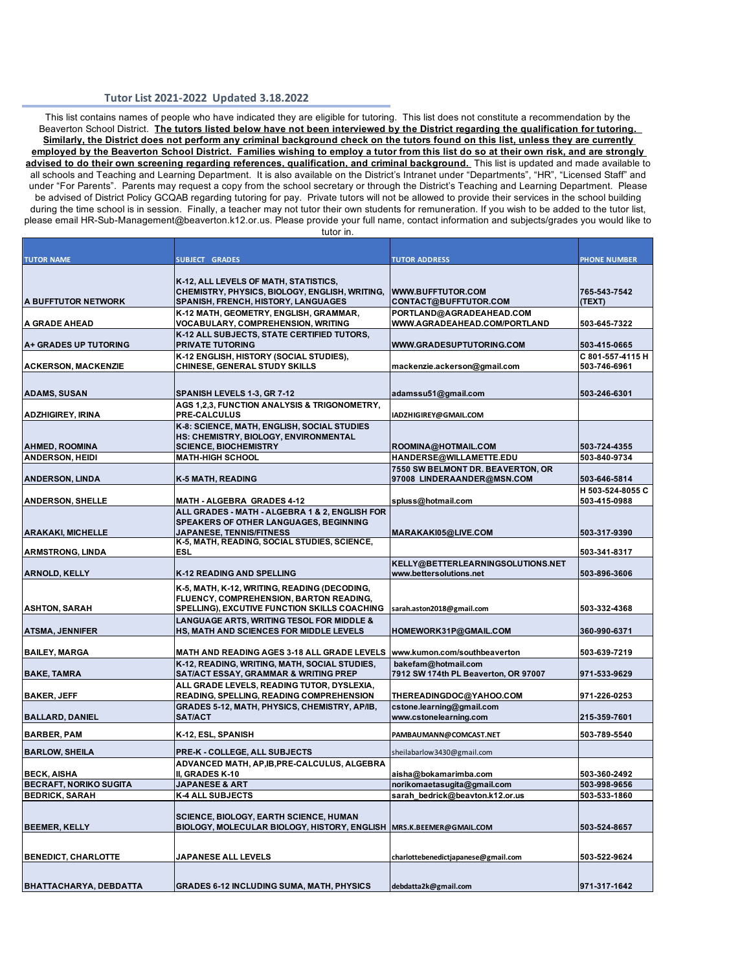## **Tutor List 2021-2022 Updated 3.18.2022**

 This list contains names of people who have indicated they are eligible for tutoring. This list does not constitute a recommendation by the Beaverton School District. **The tutors listed below have not been interviewed by the District regarding the qualification for tutoring. Similarly, the District does not perform any criminal background check on the tutors found on this list, unless they are currently employed by the Beaverton School District. Families wishing to employ a tutor from this list do so at their own risk, and are strongly advised to do their own screening regarding references, qualification, and criminal background.** This list is updated and made available to all schools and Teaching and Learning Department. It is also available on the District's Intranet under "Departments", "HR", "Licensed Staff" and under "For Parents". Parents may request a copy from the school secretary or through the District's Teaching and Learning Department. Please be advised of District Policy GCQAB regarding tutoring for pay. Private tutors will not be allowed to provide their services in the school building during the time school is in session. Finally, a teacher may not tutor their own students for remuneration. If you wish to be added to the tutor list, please email [HR-Sub-Management@beaverton.k12.or.us.](mailto:HR-Sub-Management@beaverton.k12.or.us) Please provide your full name, contact information and subjects/grades you would like to tutor in.

| <b>TUTOR NAME</b>                            | <b>SUBJECT GRADES</b>                                                                                                                                                       | <b>TUTOR ADDRESS</b>                                            | <b>PHONE NUMBER</b>              |
|----------------------------------------------|-----------------------------------------------------------------------------------------------------------------------------------------------------------------------------|-----------------------------------------------------------------|----------------------------------|
| <b>A BUFFTUTOR NETWORK</b>                   | K-12, ALL LEVELS OF MATH, STATISTICS,<br>CHEMISTRY, PHYSICS, BIOLOGY, ENGLISH, WRITING,<br>SPANISH, FRENCH, HISTORY, LANGUAGES                                              | <b>WWW.BUFFTUTOR.COM</b><br>CONTACT@BUFFTUTOR.COM               | 765-543-7542<br>(TEXT)           |
|                                              | K-12 MATH, GEOMETRY, ENGLISH, GRAMMAR,                                                                                                                                      | PORTLAND@AGRADEAHEAD.COM                                        |                                  |
| IA GRADE AHEAD                               | VOCABULARY, COMPREHENSION, WRITING                                                                                                                                          | WWW.AGRADEAHEAD.COM/PORTLAND                                    | 503-645-7322                     |
| <b>A+ GRADES UP TUTORING</b>                 | K-12 ALL SUBJECTS, STATE CERTIFIED TUTORS,<br><b>PRIVATE TUTORING</b>                                                                                                       | WWW.GRADESUPTUTORING.COM                                        | 503-415-0665                     |
| <b>ACKERSON, MACKENZIE</b>                   | K-12 ENGLISH, HISTORY (SOCIAL STUDIES),<br>CHINESE, GENERAL STUDY SKILLS                                                                                                    | mackenzie.ackerson@gmail.com                                    | C 801-557-4115 H<br>503-746-6961 |
| <b>ADAMS, SUSAN</b>                          | SPANISH LEVELS 1-3, GR 7-12                                                                                                                                                 | adamssu51@gmail.com                                             | 503-246-6301                     |
| <b>ADZHIGIREY, IRINA</b>                     | AGS 1,2,3, FUNCTION ANALYSIS & TRIGONOMETRY,<br>PRE-CALCULUS                                                                                                                | IADZHIGIREY@GMAIL.COM                                           |                                  |
| <b>AHMED, ROOMINA</b>                        | K-8: SCIENCE, MATH, ENGLISH, SOCIAL STUDIES<br>HS: CHEMISTRY, BIOLOGY, ENVIRONMENTAL<br><b>SCIENCE, BIOCHEMISTRY</b>                                                        | ROOMINA@HOTMAIL.COM                                             | 503-724-4355                     |
| <b>ANDERSON, HEIDI</b>                       | <b>MATH-HIGH SCHOOL</b>                                                                                                                                                     | HANDERSE@WILLAMETTE.EDU                                         | 503-840-9734                     |
| <b>ANDERSON, LINDA</b>                       | K-5 MATH, READING                                                                                                                                                           | 7550 SW BELMONT DR. BEAVERTON, OR<br>97008 LINDERAANDER@MSN.COM | 503-646-5814                     |
| <b>ANDERSON, SHELLE</b>                      | <b>MATH - ALGEBRA GRADES 4-12</b>                                                                                                                                           | spluss@hotmail.com                                              | H 503-524-8055 C<br>503-415-0988 |
| <b>ARAKAKI, MICHELLE</b>                     | ALL GRADES - MATH - ALGEBRA 1 & 2, ENGLISH FOR<br>SPEAKERS OF OTHER LANGUAGES, BEGINNING<br><b>JAPANESE, TENNIS/FITNESS</b>                                                 | MARAKAK105@LIVE.COM                                             | 503-317-9390                     |
| <b>ARMSTRONG, LINDA</b>                      | K-5, MATH, READING, SOCIAL STUDIES, SCIENCE,<br><b>ESL</b>                                                                                                                  |                                                                 | 503-341-8317                     |
|                                              |                                                                                                                                                                             | KELLY@BETTERLEARNINGSOLUTIONS.NET                               |                                  |
| <b>ARNOLD, KELLY</b><br><b>ASHTON, SARAH</b> | <b>K-12 READING AND SPELLING</b><br>K-5, MATH, K-12, WRITING, READING (DECODING,<br>FLUENCY, COMPREHENSION, BARTON READING,<br>SPELLING), EXCUTIVE FUNCTION SKILLS COACHING | www.bettersolutions.net<br>sarah.aston2018@gmail.com            | 503-896-3606<br>503-332-4368     |
| <b>ATSMA, JENNIFER</b>                       | LANGUAGE ARTS, WRITING TESOL FOR MIDDLE &<br>HS, MATH AND SCIENCES FOR MIDDLE LEVELS                                                                                        | HOMEWORK31P@GMAIL.COM                                           | 360-990-6371                     |
| <b>BAILEY, MARGA</b>                         | <b>MATH AND READING AGES 3-18 ALL GRADE LEVELS</b>                                                                                                                          | www.kumon.com/southbeaverton                                    | 503-639-7219                     |
|                                              | K-12, READING, WRITING, MATH, SOCIAL STUDIES,                                                                                                                               | bakefam@hotmail.com                                             |                                  |
| <b>BAKE, TAMRA</b>                           | SAT/ACT ESSAY, GRAMMAR & WRITING PREP                                                                                                                                       | 7912 SW 174th PL Beaverton, OR 97007                            | 971-533-9629                     |
| <b>BAKER, JEFF</b>                           | ALL GRADE LEVELS, READING TUTOR, DYSLEXIA,<br>READING, SPELLING, READING COMPREHENSION                                                                                      | THEREADINGDOC@YAHOO.COM                                         | 971-226-0253                     |
|                                              | GRADES 5-12, MATH, PHYSICS, CHEMISTRY, AP/IB,                                                                                                                               | cstone.learning@gmail.com                                       |                                  |
| <b>BALLARD, DANIEL</b>                       | <b>SAT/ACT</b>                                                                                                                                                              | www.cstonelearning.com                                          | 215-359-7601                     |
| <b>BARBER, PAM</b>                           | K-12, ESL, SPANISH                                                                                                                                                          | PAMBAUMANN@COMCAST.NET                                          | 503-789-5540                     |
| <b>BARLOW, SHEILA</b>                        | <b>PRE-K - COLLEGE, ALL SUBJECTS</b>                                                                                                                                        | sheilabarlow3430@gmail.com                                      |                                  |
| <b>BECK, AISHA</b>                           | ADVANCED MATH, AP, IB, PRE-CALCULUS, ALGEBRA<br>II, GRADES K-10                                                                                                             | aisha@bokamarimba.com                                           | 503-360-2492                     |
| <b>BECRAFT, NORIKO SUGITA</b>                | <b>JAPANESE &amp; ART</b>                                                                                                                                                   | norikomaetasugita@gmail.com                                     | 503-998-9656                     |
| <b>BEDRICK, SARAH</b>                        | <b>K-4 ALL SUBJECTS</b>                                                                                                                                                     | sarah bedrick@beavton.k12.or.us                                 | 503-533-1860                     |
| <b>BEEMER, KELLY</b>                         | <b>SCIENCE, BIOLOGY, EARTH SCIENCE, HUMAN</b><br>BIOLOGY, MOLECULAR BIOLOGY, HISTORY, ENGLISH                                                                               | MRS.K.BEEMER@GMAIL.COM                                          | 503-524-8657                     |
| <b>BENEDICT, CHARLOTTE</b>                   | <b>JAPANESE ALL LEVELS</b>                                                                                                                                                  | charlottebenedictjapanese@gmail.com                             | 503-522-9624                     |
|                                              |                                                                                                                                                                             |                                                                 |                                  |
| BHATTACHARYA, DEBDATTA                       | <b>GRADES 6-12 INCLUDING SUMA, MATH, PHYSICS</b>                                                                                                                            | debdatta2k@gmail.com                                            | 971-317-1642                     |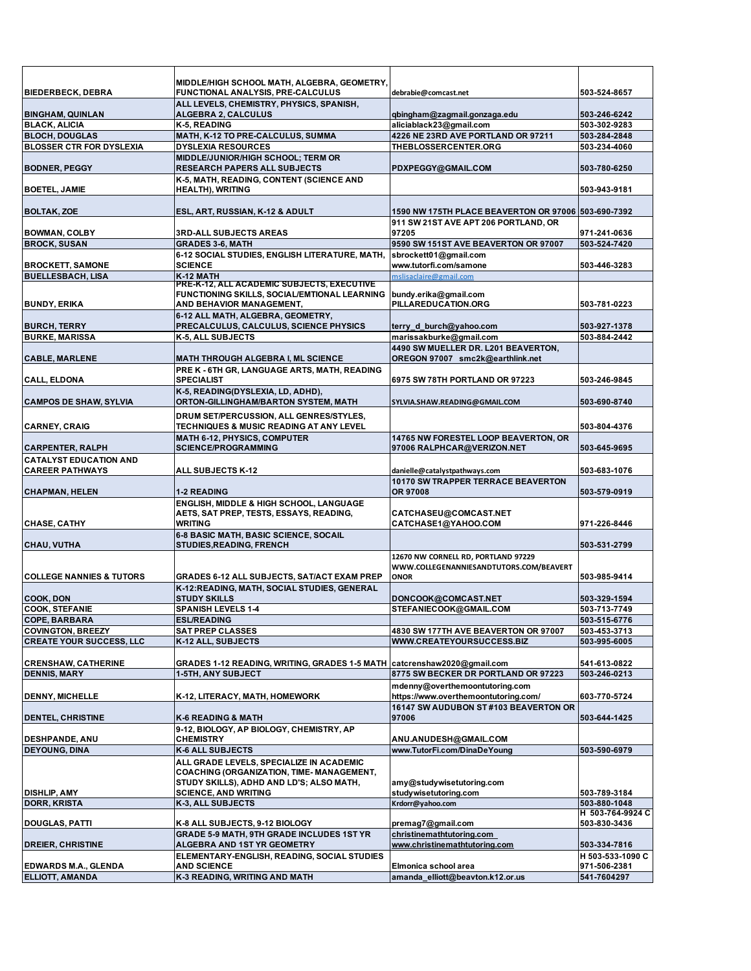| <b>BIEDERBECK, DEBRA</b>                                | MIDDLE/HIGH SCHOOL MATH, ALGEBRA, GEOMETRY,<br>FUNCTIONAL ANALYSIS, PRE-CALCULUS                                                  | debrabie@comcast.net                                                                          | 503-524-8657                 |
|---------------------------------------------------------|-----------------------------------------------------------------------------------------------------------------------------------|-----------------------------------------------------------------------------------------------|------------------------------|
|                                                         | ALL LEVELS, CHEMISTRY, PHYSICS, SPANISH,                                                                                          |                                                                                               |                              |
| <b>BINGHAM, QUINLAN</b>                                 | <b>ALGEBRA 2, CALCULUS</b>                                                                                                        | qbingham@zagmail.gonzaga.edu                                                                  | 503-246-6242                 |
| <b>BLACK, ALICIA</b>                                    | K-5, READING                                                                                                                      | aliciablack23@gmail.com                                                                       | 503-302-9283                 |
| <b>BLOCH, DOUGLAS</b>                                   | MATH, K-12 TO PRE-CALCULUS, SUMMA                                                                                                 | 4226 NE 23RD AVE PORTLAND OR 97211                                                            | 503-284-2848                 |
| <b>BLOSSER CTR FOR DYSLEXIA</b>                         | <b>DYSLEXIA RESOURCES</b>                                                                                                         | THEBLOSSERCENTER.ORG                                                                          | 503-234-4060                 |
| <b>BODNER, PEGGY</b>                                    | MIDDLE/JUNIOR/HIGH SCHOOL; TERM OR<br>RESEARCH PAPERS ALL SUBJECTS                                                                | PDXPEGGY@GMAIL.COM                                                                            | 503-780-6250                 |
| <b>BOETEL, JAMIE</b>                                    | K-5, MATH, READING, CONTENT (SCIENCE AND<br><b>HEALTH), WRITING</b>                                                               |                                                                                               | 503-943-9181                 |
|                                                         |                                                                                                                                   |                                                                                               |                              |
| <b>BOLTAK, ZOE</b>                                      | ESL, ART, RUSSIAN, K-12 & ADULT                                                                                                   | 1590 NW 175TH PLACE BEAVERTON OR 97006 503-690-7392<br>911 SW 21ST AVE APT 206 PORTLAND. OR   |                              |
| <b>BOWMAN, COLBY</b>                                    | <b>3RD-ALL SUBJECTS AREAS</b>                                                                                                     | 97205                                                                                         | 971-241-0636                 |
| <b>BROCK, SUSAN</b>                                     | <b>GRADES 3-6, MATH</b>                                                                                                           | 9590 SW 151ST AVE BEAVERTON OR 97007                                                          | 503-524-7420                 |
|                                                         | 6-12 SOCIAL STUDIES, ENGLISH LITERATURE, MATH,                                                                                    | sbrockett01@gmail.com                                                                         |                              |
| <b>BROCKETT, SAMONE</b>                                 | <b>SCIENCE</b>                                                                                                                    | www.tutorfi.com/samone                                                                        | 503-446-3283                 |
| <b>BUELLESBACH, LISA</b>                                | K-12 MATH<br><b>PRE-K-12, ALL ACADEMIC SUBJECTS, EXECUTIVE</b>                                                                    | mslisaclaire@gmail.com                                                                        |                              |
|                                                         | FUNCTIONING SKILLS, SOCIAL/EMTIONAL LEARNING                                                                                      | bundy.erika@gmail.com                                                                         |                              |
| <b>BUNDY, ERIKA</b>                                     | AND BEHAVIOR MANAGEMENT,                                                                                                          | PILLAREDUCATION.ORG                                                                           | 503-781-0223                 |
|                                                         | 6-12 ALL MATH, ALGEBRA, GEOMETRY,                                                                                                 |                                                                                               |                              |
| <b>BURCH, TERRY</b>                                     | PRECALCULUS, CALCULUS, SCIENCE PHYSICS                                                                                            | terry_d_burch@yahoo.com                                                                       | 503-927-1378                 |
| <b>BURKE, MARISSA</b>                                   | K-5, ALL SUBJECTS                                                                                                                 | marissakburke@gmail.com                                                                       | 503-884-2442                 |
|                                                         |                                                                                                                                   | 4490 SW MUELLER DR. L201 BEAVERTON.                                                           |                              |
| <b>CABLE, MARLENE</b>                                   | <b>MATH THROUGH ALGEBRA I, ML SCIENCE</b>                                                                                         | OREGON 97007 smc2k@earthlink.net                                                              |                              |
|                                                         | PRE K - 6TH GR, LANGUAGE ARTS, MATH, READING                                                                                      |                                                                                               |                              |
| <b>CALL, ELDONA</b>                                     | <b>SPECIALIST</b>                                                                                                                 | 6975 SW 78TH PORTLAND OR 97223                                                                | 503-246-9845                 |
| <b>CAMPOS DE SHAW, SYLVIA</b>                           | K-5, READING(DYSLEXIA, LD, ADHD),<br>ORTON-GILLINGHAM/BARTON SYSTEM, MATH                                                         | SYLVIA.SHAW.READING@GMAIL.COM                                                                 | 503-690-8740                 |
|                                                         | DRUM SET/PERCUSSION, ALL GENRES/STYLES,                                                                                           |                                                                                               |                              |
| <b>CARNEY, CRAIG</b>                                    | <b>TECHNIQUES &amp; MUSIC READING AT ANY LEVEL</b>                                                                                |                                                                                               | 503-804-4376                 |
|                                                         | <b>MATH 6-12, PHYSICS, COMPUTER</b>                                                                                               | 14765 NW FORESTEL LOOP BEAVERTON, OR                                                          |                              |
| <b>CARPENTER, RALPH</b>                                 | <b>SCIENCE/PROGRAMMING</b>                                                                                                        | 97006 RALPHCAR@VERIZON.NET                                                                    | 503-645-9695                 |
| <b>CATALYST EDUCATION AND</b><br><b>CAREER PATHWAYS</b> | <b>ALL SUBJECTS K-12</b>                                                                                                          | danielle@catalystpathways.com                                                                 | 503-683-1076                 |
|                                                         |                                                                                                                                   | 10170 SW TRAPPER TERRACE BEAVERTON                                                            |                              |
| <b>CHAPMAN, HELEN</b>                                   | <b>1-2 READING</b>                                                                                                                | OR 97008                                                                                      | 503-579-0919                 |
| <b>CHASE, CATHY</b>                                     | ENGLISH, MIDDLE & HIGH SCHOOL, LANGUAGE<br>AETS, SAT PREP, TESTS, ESSAYS, READING,<br><b>WRITING</b>                              | CATCHASEU@COMCAST.NET<br>CATCHASE1@YAHOO.COM                                                  | 971-226-8446                 |
|                                                         | 6-8 BASIC MATH, BASIC SCIENCE, SOCAIL                                                                                             |                                                                                               |                              |
| CHAU, VUTHA                                             | <b>STUDIES, READING, FRENCH</b>                                                                                                   |                                                                                               | 503-531-2799                 |
| <b>COLLEGE NANNIES &amp; TUTORS</b>                     | <b>GRADES 6-12 ALL SUBJECTS, SAT/ACT EXAM PREP</b>                                                                                | 12670 NW CORNELL RD, PORTLAND 97229<br>WWW.COLLEGENANNIESANDTUTORS.COM/BEAVERT<br><b>ONOR</b> | 503-985-9414                 |
|                                                         | K-12:READING, MATH, SOCIAL STUDIES, GENERAL                                                                                       |                                                                                               |                              |
| <b>COOK, DON</b>                                        | <b>STUDY SKILLS</b>                                                                                                               | DONCOOK@COMCAST.NET                                                                           | 503-329-1594                 |
| <b>COOK, STEFANIE</b>                                   | <b>SPANISH LEVELS 1-4</b>                                                                                                         | STEFANIECOOK@GMAIL.COM                                                                        | 503-713-7749                 |
| COPE, BARBARA                                           | <b>ESL/READING</b>                                                                                                                |                                                                                               | 503-515-6776                 |
| <b>COVINGTON, BREEZY</b>                                | <b>SAT PREP CLASSES</b>                                                                                                           | 4830 SW 177TH AVE BEAVERTON OR 97007                                                          | 503-453-3713<br>503-995-6005 |
| <b>CREATE YOUR SUCCESS, LLC</b>                         | K-12 ALL, SUBJECTS                                                                                                                | WWW.CREATEYOURSUCCESS.BIZ                                                                     |                              |
| <b>CRENSHAW, CATHERINE</b>                              | GRADES 1-12 READING, WRITING, GRADES 1-5 MATH   catcrenshaw2020@gmail.com                                                         |                                                                                               | 541-613-0822                 |
| <b>DENNIS, MARY</b>                                     | <b>1-5TH, ANY SUBJECT</b>                                                                                                         | 8775 SW BECKER DR PORTLAND OR 97223                                                           | 503-246-0213                 |
|                                                         | K-12, LITERACY, MATH, HOMEWORK                                                                                                    | mdenny@overthemoontutoring.com<br>https://www.overthemoontutoring.com/                        | 603-770-5724                 |
| <b>DENNY, MICHELLE</b>                                  |                                                                                                                                   | 16147 SW AUDUBON ST #103 BEAVERTON OR                                                         |                              |
| <b>DENTEL, CHRISTINE</b>                                | K-6 READING & MATH                                                                                                                | 97006                                                                                         | 503-644-1425                 |
|                                                         | 9-12, BIOLOGY, AP BIOLOGY, CHEMISTRY, AP                                                                                          |                                                                                               |                              |
| <b>DESHPANDE, ANU</b>                                   | <b>CHEMISTRY</b>                                                                                                                  | ANU.ANUDESH@GMAIL.COM                                                                         |                              |
| <b>DEYOUNG, DINA</b>                                    | K-6 ALL SUBJECTS                                                                                                                  | www.TutorFi.com/DinaDeYoung                                                                   | 503-590-6979                 |
|                                                         | ALL GRADE LEVELS, SPECIALIZE IN ACADEMIC<br>COACHING (ORGANIZATION, TIME- MANAGEMENT,<br>STUDY SKILLS), ADHD AND LD'S; ALSO MATH, | amy@studywisetutoring.com                                                                     |                              |
| <b>DISHLIP, AMY</b>                                     | <b>SCIENCE, AND WRITING</b>                                                                                                       | studywisetutoring.com                                                                         | 503-789-3184                 |
| <b>DORR, KRISTA</b>                                     | K-3, ALL SUBJECTS                                                                                                                 | Krdorr@yahoo.com                                                                              | 503-880-1048                 |
|                                                         |                                                                                                                                   |                                                                                               | H 503-764-9924 C             |
| <b>DOUGLAS, PATTI</b>                                   | K-8 ALL SUBJECTS, 9-12 BIOLOGY                                                                                                    | premag7@gmail.com                                                                             | 503-830-3436                 |
| <b>DREIER, CHRISTINE</b>                                | <b>GRADE 5-9 MATH, 9TH GRADE INCLUDES 1ST YR</b><br>ALGEBRA AND 1ST YR GEOMETRY                                                   | christinemathtutoring.com<br>www.christinemathtutoring.com                                    | 503-334-7816                 |
|                                                         | ELEMENTARY-ENGLISH, READING, SOCIAL STUDIES                                                                                       |                                                                                               | H 503-533-1090 C             |
| <b>EDWARDS M.A., GLENDA</b>                             | <b>AND SCIENCE</b>                                                                                                                | Elmonica school area                                                                          | 971-506-2381                 |
| ELLIOTT, AMANDA                                         | K-3 READING, WRITING AND MATH                                                                                                     | amanda elliott@beavton.k12.or.us                                                              | 541-7604297                  |
|                                                         |                                                                                                                                   |                                                                                               |                              |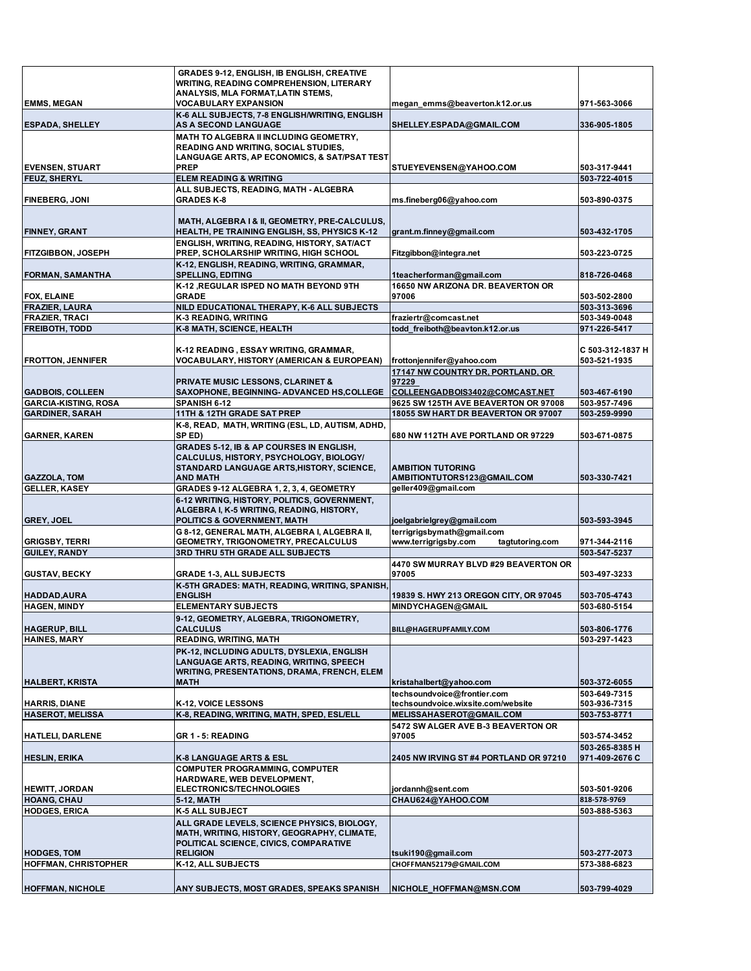|                                                        | GRADES 9-12, ENGLISH, IB ENGLISH, CREATIVE                                                          |                                                                        |                                  |
|--------------------------------------------------------|-----------------------------------------------------------------------------------------------------|------------------------------------------------------------------------|----------------------------------|
|                                                        | <b>WRITING, READING COMPREHENSION, LITERARY</b>                                                     |                                                                        |                                  |
| <b>EMMS, MEGAN</b>                                     | ANALYSIS, MLA FORMAT, LATIN STEMS,<br><b>VOCABULARY EXPANSION</b>                                   | megan_emms@beaverton.k12.or.us                                         | 971-563-3066                     |
|                                                        | K-6 ALL SUBJECTS, 7-8 ENGLISH/WRITING, ENGLISH                                                      |                                                                        |                                  |
| <b>ESPADA, SHELLEY</b>                                 | <b>AS A SECOND LANGUAGE</b>                                                                         | SHELLEY.ESPADA@GMAIL.COM                                               | 336-905-1805                     |
|                                                        | MATH TO ALGEBRA II INCLUDING GEOMETRY,                                                              |                                                                        |                                  |
|                                                        | READING AND WRITING, SOCIAL STUDIES,<br>LANGUAGE ARTS, AP ECONOMICS, & SAT/PSAT TEST                |                                                                        |                                  |
| <b>EVENSEN, STUART</b>                                 | <b>PREP</b>                                                                                         | STUEYEVENSEN@YAHOO.COM                                                 | 503-317-9441                     |
| <b>FEUZ, SHERYL</b>                                    | <b>ELEM READING &amp; WRITING</b>                                                                   |                                                                        | 503-722-4015                     |
| <b>FINEBERG, JONI</b>                                  | ALL SUBJECTS, READING, MATH - ALGEBRA<br><b>GRADES K-8</b>                                          | ms.fineberg06@yahoo.com                                                | 503-890-0375                     |
|                                                        |                                                                                                     |                                                                        |                                  |
|                                                        | MATH, ALGEBRA I & II, GEOMETRY, PRE-CALCULUS,                                                       |                                                                        |                                  |
| <b>FINNEY, GRANT</b>                                   | <b>HEALTH, PE TRAINING ENGLISH, SS, PHYSICS K-12</b><br>ENGLISH, WRITING, READING, HISTORY, SAT/ACT | grant.m.finney@gmail.com                                               | 503-432-1705                     |
| <b>FITZGIBBON, JOSEPH</b>                              | PREP, SCHOLARSHIP WRITING, HIGH SCHOOL                                                              | Fitzgibbon@integra.net                                                 | 503-223-0725                     |
|                                                        | K-12, ENGLISH, READING, WRITING, GRAMMAR,                                                           |                                                                        |                                  |
| <b>FORMAN, SAMANTHA</b>                                | <b>SPELLING, EDITING</b>                                                                            | 1teacherforman@gmail.com                                               | 818-726-0468                     |
|                                                        | K-12 , REGULAR ISPED NO MATH BEYOND 9TH<br><b>GRADE</b>                                             | 16650 NW ARIZONA DR. BEAVERTON OR<br>97006                             |                                  |
| <b>FOX, ELAINE</b><br><b>FRAZIER, LAURA</b>            | NILD EDUCATIONAL THERAPY, K-6 ALL SUBJECTS                                                          |                                                                        | 503-502-2800<br>503-313-3696     |
| <b>FRAZIER, TRACI</b>                                  | K-3 READING, WRITING                                                                                | fraziertr@comcast.net                                                  | 503-349-0048                     |
| <b>FREIBOTH, TODD</b>                                  | K-8 MATH, SCIENCE, HEALTH                                                                           | todd freiboth@beavton.k12.or.us                                        | 971-226-5417                     |
|                                                        |                                                                                                     |                                                                        |                                  |
| <b>FROTTON, JENNIFER</b>                               | K-12 READING, ESSAY WRITING, GRAMMAR,<br><b>VOCABULARY, HISTORY (AMERICAN &amp; EUROPEAN)</b>       | frottonjennifer@yahoo.com                                              | C 503-312-1837 H<br>503-521-1935 |
|                                                        |                                                                                                     | 17147 NW COUNTRY DR, PORTLAND, OR                                      |                                  |
|                                                        | <b>PRIVATE MUSIC LESSONS, CLARINET &amp;</b>                                                        | 97229                                                                  |                                  |
| <b>GADBOIS, COLLEEN</b><br><b>GARCIA-KISTING, ROSA</b> | <b>SAXOPHONE, BEGINNING- ADVANCED HS.COLLEGE</b><br>SPANISH 6-12                                    | COLLEENGADBOIS3402@COMCAST.NET<br>9625 SW 125TH AVE BEAVERTON OR 97008 | 503-467-6190<br>503-957-7496     |
| <b>GARDINER, SARAH</b>                                 | 11TH & 12TH GRADE SAT PREP                                                                          | 18055 SW HART DR BEAVERTON OR 97007                                    | 503-259-9990                     |
|                                                        | K-8, READ, MATH, WRITING (ESL, LD, AUTISM, ADHD,                                                    |                                                                        |                                  |
| <b>GARNER, KAREN</b>                                   | SP ED)                                                                                              | 680 NW 112TH AVE PORTLAND OR 97229                                     | 503-671-0875                     |
|                                                        | <b>GRADES 5-12, IB &amp; AP COURSES IN ENGLISH,</b><br>CALCULUS, HISTORY, PSYCHOLOGY, BIOLOGY/      |                                                                        |                                  |
|                                                        | STANDARD LANGUAGE ARTS, HISTORY, SCIENCE,                                                           | <b>AMBITION TUTORING</b>                                               |                                  |
| <b>GAZZOLA, TOM</b>                                    | <b>AND MATH</b>                                                                                     | AMBITIONTUTORS123@GMAIL.COM                                            | 503-330-7421                     |
| <b>GELLER, KASEY</b>                                   | GRADES 9-12 ALGEBRA 1, 2, 3, 4, GEOMETRY                                                            | geller409@gmail.com                                                    |                                  |
|                                                        | 6-12 WRITING, HISTORY, POLITICS, GOVERNMENT,<br>ALGEBRA I, K-5 WRITING, READING, HISTORY,           |                                                                        |                                  |
| <b>GREY, JOEL</b>                                      | <b>POLITICS &amp; GOVERNMENT, MATH</b>                                                              | joelgabrielgrey@gmail.com                                              | 503-593-3945                     |
|                                                        | G 8-12, GENERAL MATH, ALGEBRA I, ALGEBRA II,                                                        | terrigrigsbymath@gmail.com                                             |                                  |
| <b>GRIGSBY, TERRI</b><br><b>GUILEY, RANDY</b>          | GEOMETRY, TRIGONOMETRY, PRECALCULUS<br><b>3RD THRU 5TH GRADE ALL SUBJECTS</b>                       | www.terrigrigsby.com<br>tagtutoring.com                                | 971-344-2116<br>503-547-5237     |
|                                                        |                                                                                                     | 4470 SW MURRAY BLVD #29 BEAVERTON OR                                   |                                  |
| <b>GUSTAV, BECKY</b>                                   | <b>GRADE 1-3, ALL SUBJECTS</b>                                                                      | 97005                                                                  | 503-497-3233                     |
|                                                        | K-5TH GRADES: MATH, READING, WRITING, SPANISH,                                                      |                                                                        |                                  |
| HADDAD, AURA<br><b>HAGEN, MINDY</b>                    | <b>ENGLISH</b><br><b>ELEMENTARY SUBJECTS</b>                                                        | 19839 S. HWY 213 OREGON CITY, OR 97045<br>MINDYCHAGEN@GMAIL            | 503-705-4743<br>503-680-5154     |
|                                                        | 9-12, GEOMETRY, ALGEBRA, TRIGONOMETRY,                                                              |                                                                        |                                  |
| <b>HAGERUP, BILL</b>                                   | <b>CALCULUS</b>                                                                                     | BILL@HAGERUPFAMILY.COM                                                 | 503-806-1776                     |
| <b>HAINES, MARY</b>                                    | <b>READING, WRITING, MATH</b>                                                                       |                                                                        | 503-297-1423                     |
|                                                        | PK-12, INCLUDING ADULTS, DYSLEXIA, ENGLISH<br>LANGUAGE ARTS, READING, WRITING, SPEECH               |                                                                        |                                  |
|                                                        | <b>WRITING, PRESENTATIONS, DRAMA, FRENCH, ELEM</b>                                                  |                                                                        |                                  |
| <b>HALBERT, KRISTA</b>                                 | <b>MATH</b>                                                                                         | kristahalbert@yahoo.com                                                | 503-372-6055                     |
| <b>HARRIS, DIANE</b>                                   | K-12, VOICE LESSONS                                                                                 | techsoundvoice@frontier.com<br>techsoundvoice.wixsite.com/website      | 503-649-7315<br>503-936-7315     |
| <b>HASEROT, MELISSA</b>                                | K-8, READING, WRITING, MATH, SPED, ESL/ELL                                                          | MELISSAHASEROT@GMAIL.COM                                               | 503-753-8771                     |
|                                                        |                                                                                                     | 5472 SW ALGER AVE B-3 BEAVERTON OR                                     |                                  |
| <b>HATLELI, DARLENE</b>                                | <b>GR 1 - 5: READING</b>                                                                            | 97005                                                                  | 503-574-3452                     |
| <b>HESLIN, ERIKA</b>                                   | K-8 LANGUAGE ARTS & ESL                                                                             | 2405 NW IRVING ST #4 PORTLAND OR 97210                                 | 503-265-8385 H<br>971-409-2676 C |
|                                                        | <b>COMPUTER PROGRAMMING, COMPUTER</b>                                                               |                                                                        |                                  |
|                                                        | HARDWARE, WEB DEVELOPMENT,                                                                          |                                                                        |                                  |
| <b>HEWITT, JORDAN</b>                                  | <b>ELECTRONICS/TECHNOLOGIES</b>                                                                     | jordannh@sent.com                                                      | 503-501-9206                     |
| <b>HOANG, CHAU</b><br><b>HODGES, ERICA</b>             | 5-12, MATH<br><b>K-5 ALL SUBJECT</b>                                                                | CHAU624@YAHOO.COM                                                      | 818-578-9769<br>503-888-5363     |
|                                                        | ALL GRADE LEVELS, SCIENCE PHYSICS, BIOLOGY,                                                         |                                                                        |                                  |
|                                                        | MATH, WRITING, HISTORY, GEOGRAPHY, CLIMATE,                                                         |                                                                        |                                  |
|                                                        | POLITICAL SCIENCE, CIVICS, COMPARATIVE                                                              |                                                                        |                                  |
| <b>HODGES, TOM</b><br><b>HOFFMAN, CHRISTOPHER</b>      | <b>RELIGION</b><br>K-12, ALL SUBJECTS                                                               | tsuki190@gmail.com<br>CHOFFMAN52179@GMAIL.COM                          | 503-277-2073<br>573-388-6823     |
|                                                        |                                                                                                     |                                                                        |                                  |
| <b>HOFFMAN, NICHOLE</b>                                | ANY SUBJECTS, MOST GRADES, SPEAKS SPANISH                                                           | NICHOLE_HOFFMAN@MSN.COM                                                | 503-799-4029                     |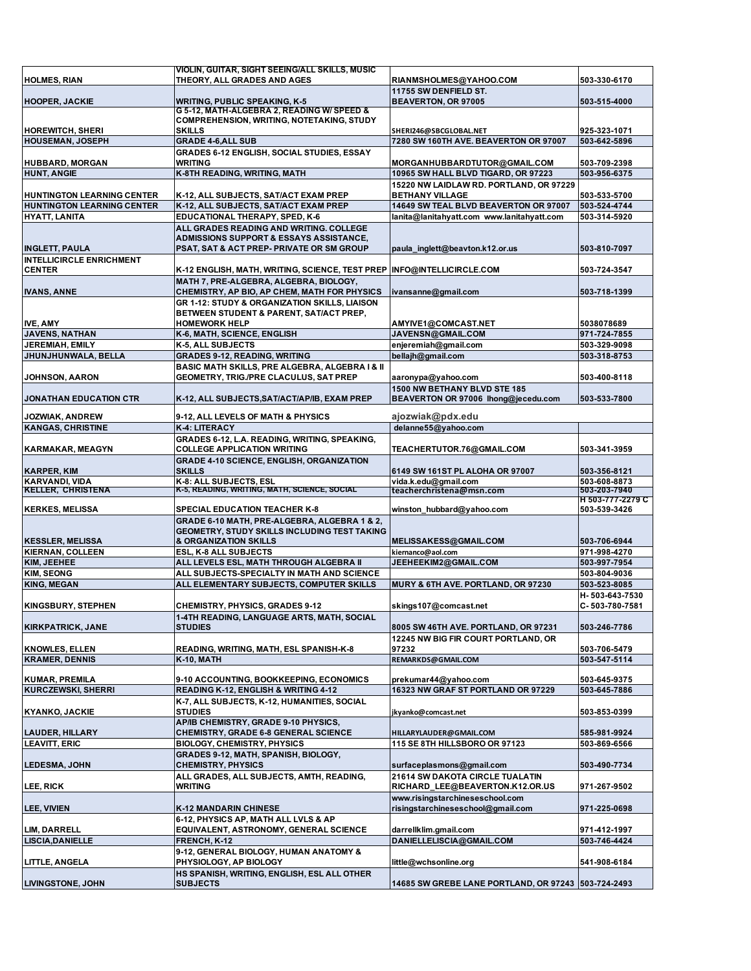| <b>HOLMES, RIAN</b>                                | VIOLIN, GUITAR, SIGHT SEEING/ALL SKILLS, MUSIC<br>THEORY, ALL GRADES AND AGES                   | RIANMSHOLMES@YAHOO.COM                                          | 503-330-6170                 |
|----------------------------------------------------|-------------------------------------------------------------------------------------------------|-----------------------------------------------------------------|------------------------------|
|                                                    |                                                                                                 | 11755 SW DENFIELD ST.                                           |                              |
| <b>HOOPER, JACKIE</b>                              | <b>WRITING, PUBLIC SPEAKING, K-5</b>                                                            | BEAVERTON, OR 97005                                             | 503-515-4000                 |
|                                                    | G 5-12, MATH-ALGEBRA 2, READING W/ SPEED &                                                      |                                                                 |                              |
|                                                    | <b>COMPREHENSION, WRITING, NOTETAKING, STUDY</b>                                                |                                                                 |                              |
| <b>HOREWITCH, SHERI</b><br><b>HOUSEMAN, JOSEPH</b> | <b>SKILLS</b><br><b>GRADE 4-6, ALL SUB</b>                                                      | SHERI246@SBCGLOBAL.NET<br>7280 SW 160TH AVE, BEAVERTON OR 97007 | 925-323-1071<br>503-642-5896 |
|                                                    | <b>GRADES 6-12 ENGLISH, SOCIAL STUDIES, ESSAY</b>                                               |                                                                 |                              |
| <b>HUBBARD, MORGAN</b>                             | <b>WRITING</b>                                                                                  | MORGANHUBBARDTUTOR@GMAIL.COM                                    | 503-709-2398                 |
| <b>HUNT, ANGIE</b>                                 | K-8TH READING, WRITING, MATH                                                                    | 10965 SW HALL BLVD TIGARD, OR 97223                             | 503-956-6375                 |
|                                                    |                                                                                                 | 15220 NW LAIDLAW RD. PORTLAND, OR 97229                         |                              |
| <b>HUNTINGTON LEARNING CENTER</b>                  | K-12, ALL SUBJECTS, SAT/ACT EXAM PREP                                                           | <b>BETHANY VILLAGE</b>                                          | 503-533-5700                 |
| <b>HUNTINGTON LEARNING CENTER</b>                  | K-12, ALL SUBJECTS, SAT/ACT EXAM PREP                                                           | 14649 SW TEAL BLVD BEAVERTON OR 97007                           | 503-524-4744                 |
| HYATT, LANITA                                      | EDUCATIONAL THERAPY, SPED, K-6                                                                  | lanita@lanitahyatt.com www.lanitahyatt.com                      | 503-314-5920                 |
|                                                    | ALL GRADES READING AND WRITING. COLLEGE                                                         |                                                                 |                              |
| <b>INGLETT, PAULA</b>                              | <b>ADMISSIONS SUPPORT &amp; ESSAYS ASSISTANCE,</b><br>PSAT, SAT & ACT PREP- PRIVATE OR SM GROUP | paula inglett@beavton.k12.or.us                                 | 503-810-7097                 |
| <b>INTELLICIRCLE ENRICHMENT</b>                    |                                                                                                 |                                                                 |                              |
| <b>CENTER</b>                                      | K-12 ENGLISH, MATH, WRITING, SCIENCE, TEST PREP                                                 | <b>INFO@INTELLICIRCLE.COM</b>                                   | 503-724-3547                 |
|                                                    | MATH 7, PRE-ALGEBRA, ALGEBRA, BIOLOGY,                                                          |                                                                 |                              |
| <b>IVANS, ANNE</b>                                 | CHEMISTRY, AP BIO, AP CHEM, MATH FOR PHYSICS                                                    | ivansanne@gmail.com                                             | 503-718-1399                 |
|                                                    | GR 1-12: STUDY & ORGANIZATION SKILLS, LIAISON                                                   |                                                                 |                              |
|                                                    | BETWEEN STUDENT & PARENT, SAT/ACT PREP,                                                         |                                                                 |                              |
| <b>IVE, AMY</b>                                    | <b>HOMEWORK HELP</b>                                                                            | AMYIVE1@COMCAST.NET                                             | 5038078689                   |
| <b>JAVENS, NATHAN</b>                              | K-6, MATH, SCIENCE, ENGLISH                                                                     | JAVENSN@GMAIL.COM                                               | 971-724-7855                 |
| <b>JEREMIAH, EMILY</b><br>JHUNJHUNWALA, BELLA      | K-5, ALL SUBJECTS                                                                               | enjeremiah@gmail.com<br>bellajh@gmail.com                       | 503-329-9098<br>503-318-8753 |
|                                                    | <b>GRADES 9-12, READING, WRITING</b><br>BASIC MATH SKILLS, PRE ALGEBRA, ALGEBRA I & II          |                                                                 |                              |
| <b>JOHNSON, AARON</b>                              | <b>GEOMETRY, TRIG./PRE CLACULUS, SAT PREP</b>                                                   | aaronypa@yahoo.com                                              | 503-400-8118                 |
|                                                    |                                                                                                 | 1500 NW BETHANY BLVD STE 185                                    |                              |
| <b>JONATHAN EDUCATION CTR</b>                      | K-12, ALL SUBJECTS, SAT/ACT/AP/IB, EXAM PREP                                                    | BEAVERTON OR 97006 lhong@jecedu.com                             | 503-533-7800                 |
|                                                    |                                                                                                 |                                                                 |                              |
| <b>JOZWIAK, ANDREW</b>                             | 9-12, ALL LEVELS OF MATH & PHYSICS                                                              | ajozwiak@pdx.edu                                                |                              |
| <b>KANGAS, CHRISTINE</b>                           | K-4: LITERACY                                                                                   | delanne55@yahoo.com                                             |                              |
|                                                    | GRADES 6-12, L.A. READING, WRITING, SPEAKING,                                                   |                                                                 |                              |
| <b>KARMAKAR, MEAGYN</b>                            | <b>COLLEGE APPLICATION WRITING</b><br><b>GRADE 4-10 SCIENCE, ENGLISH, ORGANIZATION</b>          | TEACHERTUTOR.76@GMAIL.COM                                       | 503-341-3959                 |
| <b>KARPER, KIM</b>                                 | <b>SKILLS</b>                                                                                   | 6149 SW 161ST PL ALOHA OR 97007                                 | 503-356-8121                 |
|                                                    |                                                                                                 |                                                                 |                              |
|                                                    |                                                                                                 |                                                                 | 503-608-8873                 |
| <b>KARVANDI, VIDA</b><br><b>KELLER, CHRISTENA</b>  | K-8: ALL SUBJECTS, ESL<br>K-5, READING, WRITING, MATH, SCIENCE, SOCIAL                          | vida.k.edu@gmail.com<br>teacherchristena@msn.com                | 503-203-7940                 |
|                                                    |                                                                                                 |                                                                 | H 503-777-2279 C             |
| <b>KERKES, MELISSA</b>                             | <b>SPECIAL EDUCATION TEACHER K-8</b>                                                            | winston hubbard@yahoo.com                                       | 503-539-3426                 |
|                                                    | GRADE 6-10 MATH, PRE-ALGEBRA, ALGEBRA 1 & 2,                                                    |                                                                 |                              |
| <b>KESSLER, MELISSA</b>                            | GEOMETRY, STUDY SKILLS INCLUDING TEST TAKING<br>& ORGANIZATION SKILLS                           | MELISSAKESS@GMAIL.COM                                           | 503-706-6944                 |
| <b>KIERNAN, COLLEEN</b>                            | ESL, K-8 ALL SUBJECTS                                                                           | kiernanco@aol.com                                               | 971-998-4270                 |
| KIM, JEEHEE                                        | ALL LEVELS ESL, MATH THROUGH ALGEBRA II                                                         | JEEHEEKIM2@GMAIL.COM                                            | 503-997-7954                 |
| <b>KIM, SEONG</b>                                  | ALL SUBJECTS-SPECIALTY IN MATH AND SCIENCE                                                      |                                                                 | 503-804-9036                 |
| <b>KING, MEGAN</b>                                 | ALL ELEMENTARY SUBJECTS, COMPUTER SKILLS                                                        | MURY & 6TH AVE. PORTLAND, OR 97230                              | 503-523-8085                 |
|                                                    |                                                                                                 |                                                                 | H-503-643-7530               |
| <b>KINGSBURY, STEPHEN</b>                          | <b>CHEMISTRY, PHYSICS, GRADES 9-12</b>                                                          | skings107@comcast.net                                           | C-503-780-7581               |
|                                                    | 1-4TH READING, LANGUAGE ARTS, MATH, SOCIAL                                                      |                                                                 |                              |
| <b>KIRKPATRICK, JANE</b>                           | <b>STUDIES</b>                                                                                  | 8005 SW 46TH AVE. PORTLAND, OR 97231                            | 503-246-7786                 |
| <b>KNOWLES, ELLEN</b>                              | <b>READING, WRITING, MATH, ESL SPANISH-K-8</b>                                                  | 12245 NW BIG FIR COURT PORTLAND, OR<br>97232                    | 503-706-5479                 |
| <b>KRAMER, DENNIS</b>                              | <b>K-10, MATH</b>                                                                               | REMARKDS@GMAIL.COM                                              | 503-547-5114                 |
|                                                    |                                                                                                 |                                                                 |                              |
| KUMAR, PREMILA                                     | 9-10 ACCOUNTING, BOOKKEEPING, ECONOMICS                                                         | prekumar44@yahoo.com                                            | 503-645-9375                 |
| <b>KURCZEWSKI, SHERRI</b>                          | READING K-12, ENGLISH & WRITING 4-12                                                            | 16323 NW GRAF ST PORTLAND OR 97229                              | 503-645-7886                 |
|                                                    | K-7, ALL SUBJECTS, K-12, HUMANITIES, SOCIAL                                                     |                                                                 |                              |
| KYANKO, JACKIE                                     | <b>STUDIES</b>                                                                                  | jkyanko@comcast.net                                             | 503-853-0399                 |
|                                                    | AP/IB CHEMISTRY, GRADE 9-10 PHYSICS,<br><b>CHEMISTRY, GRADE 6-8 GENERAL SCIENCE</b>             | HILLARYLAUDER@GMAIL.COM                                         | 585-981-9924                 |
| <b>LAUDER, HILLARY</b><br><b>LEAVITT, ERIC</b>     | <b>BIOLOGY, CHEMISTRY, PHYSICS</b>                                                              | 115 SE 8TH HILLSBORO OR 97123                                   | 503-869-6566                 |
|                                                    | GRADES 9-12, MATH, SPANISH, BIOLOGY,                                                            |                                                                 |                              |
| <b>LEDESMA, JOHN</b>                               | <b>CHEMISTRY, PHYSICS</b>                                                                       | surfaceplasmons@gmail.com                                       | 503-490-7734                 |
|                                                    | ALL GRADES, ALL SUBJECTS, AMTH, READING,                                                        | <b>21614 SW DAKOTA CIRCLE TUALATIN</b>                          |                              |
| LEE, RICK                                          | WRITING                                                                                         | RICHARD_LEE@BEAVERTON.K12.OR.US                                 | 971-267-9502                 |
|                                                    |                                                                                                 | www.risingstarchineseschool.com                                 |                              |
| <b>LEE, VIVIEN</b>                                 | <b>K-12 MANDARIN CHINESE</b>                                                                    | risingstarchineseschool@gmail.com                               | 971-225-0698                 |
|                                                    | 6-12, PHYSICS AP, MATH ALL LVLS & AP                                                            |                                                                 |                              |
| LIM, DARRELL                                       | <b>EQUIVALENT, ASTRONOMY, GENERAL SCIENCE</b>                                                   | darrellklim.gmail.com                                           | 971-412-1997                 |
| <b>LISCIA, DANIELLE</b>                            | FRENCH, K-12                                                                                    | DANIELLELISCIA@GMAIL.COM                                        | 503-746-4424                 |
| LITTLE, ANGELA                                     | 9-12, GENERAL BIOLOGY, HUMAN ANATOMY &<br>PHYSIOLOGY, AP BIOLOGY                                | little@wchsonline.org                                           | 541-908-6184                 |
|                                                    | HS SPANISH, WRITING, ENGLISH, ESL ALL OTHER                                                     |                                                                 |                              |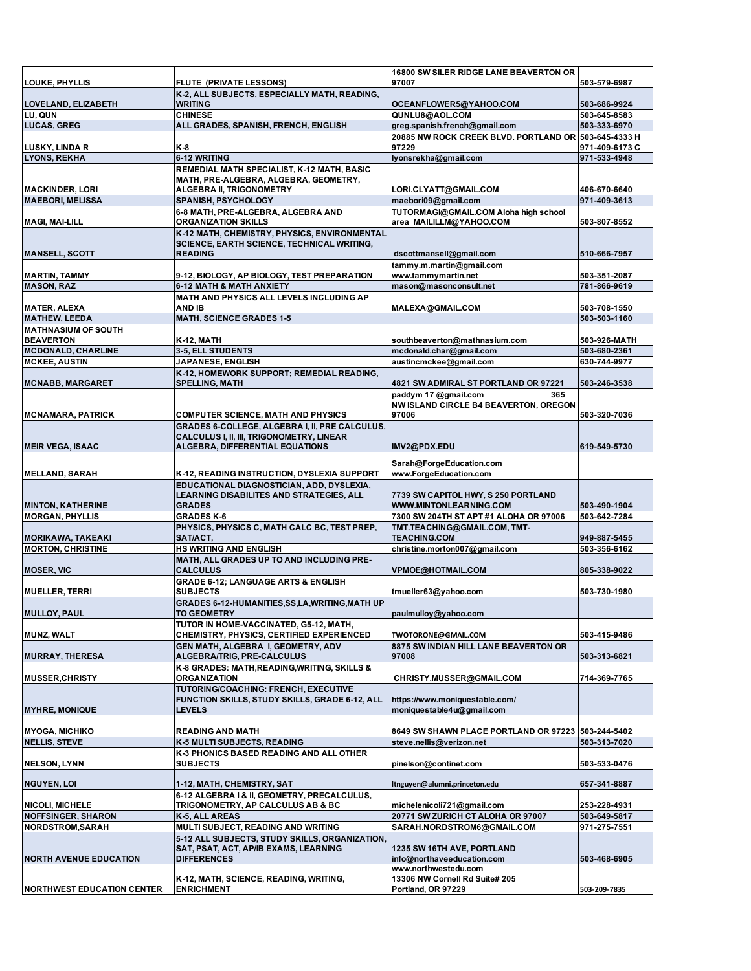| <b>LOUKE, PHYLLIS</b>             | <b>FLUTE (PRIVATE LESSONS)</b>                    | 16800 SW SILER RIDGE LANE BEAVERTON OR<br>97007      | 503-579-6987   |
|-----------------------------------|---------------------------------------------------|------------------------------------------------------|----------------|
|                                   | K-2, ALL SUBJECTS, ESPECIALLY MATH, READING,      |                                                      |                |
| LOVELAND, ELIZABETH               | <b>WRITING</b>                                    | OCEANFLOWER5@YAHOO.COM                               | 503-686-9924   |
| LU, QUN                           | <b>CHINESE</b>                                    | QUNLU8@AOL.COM                                       | 503-645-8583   |
| <b>LUCAS, GREG</b>                | ALL GRADES, SPANISH, FRENCH, ENGLISH              | greg.spanish.french@gmail.com                        | 503-333-6970   |
|                                   |                                                   | 20885 NW ROCK CREEK BLVD. PORTLAND OR 503-645-4333 H |                |
| LUSKY, LINDA R                    | K-8                                               | 97229                                                | 971-409-6173 C |
| <b>LYONS, REKHA</b>               | 6-12 WRITING                                      | lyonsrekha@gmail.com                                 | 971-533-4948   |
|                                   | REMEDIAL MATH SPECIALIST, K-12 MATH, BASIC        |                                                      |                |
|                                   | MATH, PRE-ALGEBRA, ALGEBRA, GEOMETRY,             |                                                      |                |
| <b>MACKINDER, LORI</b>            | ALGEBRA II, TRIGONOMETRY                          | LORI.CLYATT@GMAIL.COM                                | 406-670-6640   |
| <b>MAEBORI, MELISSA</b>           | <b>SPANISH, PSYCHOLOGY</b>                        | maebori09@gmail.com                                  | 971-409-3613   |
|                                   | 6-8 MATH, PRE-ALGEBRA, ALGEBRA AND                | TUTORMAGI@GMAIL.COM Aloha high school                |                |
| <b>MAGI, MAI-LILL</b>             | <b>ORGANIZATION SKILLS</b>                        | area MAILILLM@YAHOO.COM                              | 503-807-8552   |
|                                   | K-12 MATH, CHEMISTRY, PHYSICS, ENVIRONMENTAL      |                                                      |                |
|                                   | <b>SCIENCE, EARTH SCIENCE, TECHNICAL WRITING,</b> |                                                      |                |
|                                   | <b>READING</b>                                    |                                                      | 510-666-7957   |
| <b>MANSELL, SCOTT</b>             |                                                   | dscottmansell@gmail.com                              |                |
|                                   |                                                   | tammy.m.martin@gmail.com                             |                |
| <b>MARTIN, TAMMY</b>              | 9-12, BIOLOGY, AP BIOLOGY, TEST PREPARATION       | www.tammymartin.net                                  | 503-351-2087   |
| <b>MASON, RAZ</b>                 | <b>6-12 MATH &amp; MATH ANXIETY</b>               | mason@masonconsult.net                               | 781-866-9619   |
|                                   | MATH AND PHYSICS ALL LEVELS INCLUDING AP          |                                                      |                |
| <b>MATER, ALEXA</b>               | <b>AND IB</b>                                     | MALEXA@GMAIL.COM                                     | 503-708-1550   |
| <b>MATHEW, LEEDA</b>              | <b>MATH, SCIENCE GRADES 1-5</b>                   |                                                      | 503-503-1160   |
| <b>MATHNASIUM OF SOUTH</b>        |                                                   |                                                      |                |
| <b>BEAVERTON</b>                  | <b>K-12, MATH</b>                                 | southbeaverton@mathnasium.com                        | 503-926-MATH   |
| <b>MCDONALD, CHARLINE</b>         | 3-5, ELL STUDENTS                                 | mcdonald.char@gmail.com                              | 503-680-2361   |
| <b>MCKEE, AUSTIN</b>              | <b>JAPANESE, ENGLISH</b>                          | austincmckee@gmail.com                               | 630-744-9977   |
|                                   | K-12, HOMEWORK SUPPORT; REMEDIAL READING,         |                                                      |                |
| <b>MCNABB, MARGARET</b>           | <b>SPELLING, MATH</b>                             | 4821 SW ADMIRAL ST PORTLAND OR 97221                 | 503-246-3538   |
|                                   |                                                   | paddym 17 @gmail.com<br>365                          |                |
|                                   |                                                   | NW ISLAND CIRCLE B4 BEAVERTON, OREGON                |                |
| <b>MCNAMARA, PATRICK</b>          | <b>COMPUTER SCIENCE, MATH AND PHYSICS</b>         | 97006                                                | 503-320-7036   |
|                                   | GRADES 6-COLLEGE, ALGEBRA I, II, PRE CALCULUS,    |                                                      |                |
|                                   | CALCULUS I, II, III, TRIGONOMETRY, LINEAR         |                                                      |                |
| <b>MEIR VEGA, ISAAC</b>           | ALGEBRA, DIFFERENTIAL EQUATIONS                   | IMV2@PDX.EDU                                         | 619-549-5730   |
|                                   |                                                   |                                                      |                |
|                                   |                                                   | Sarah@ForgeEducation.com                             |                |
| <b>MELLAND, SARAH</b>             | K-12, READING INSTRUCTION, DYSLEXIA SUPPORT       | www.ForgeEducation.com                               |                |
|                                   | EDUCATIONAL DIAGNOSTICIAN, ADD, DYSLEXIA,         |                                                      |                |
|                                   | <b>LEARNING DISABILITES AND STRATEGIES, ALL</b>   | 7739 SW CAPITOL HWY, S 250 PORTLAND                  |                |
| <b>MINTON, KATHERINE</b>          | <b>GRADES</b>                                     | WWW.MINTONLEARNING.COM                               | 503-490-1904   |
| <b>MORGAN, PHYLLIS</b>            | <b>GRADES K-6</b>                                 | 7300 SW 204TH ST APT #1 ALOHA OR 97006               | 503-642-7284   |
|                                   | PHYSICS, PHYSICS C, MATH CALC BC, TEST PREP,      | TMT.TEACHING@GMAIL.COM, TMT-                         |                |
| <b>MORIKAWA, TAKEAKI</b>          | SAT/ACT,                                          | <b>TEACHING.COM</b>                                  | 949-887-5455   |
| <b>MORTON, CHRISTINE</b>          | <b>HS WRITING AND ENGLISH</b>                     | christine.morton007@gmail.com                        | 503-356-6162   |
|                                   | MATH. ALL GRADES UP TO AND INCLUDING PRE-         |                                                      |                |
|                                   |                                                   |                                                      |                |
| <b>MOSER, VIC</b>                 | <b>CALCULUS</b>                                   | VPMOE@HOTMAIL.COM                                    | 805-338-9022   |
|                                   | <b>GRADE 6-12; LANGUAGE ARTS &amp; ENGLISH</b>    |                                                      |                |
| <b>MUELLER, TERRI</b>             | <b>SUBJECTS</b>                                   | tmueller63@yahoo.com                                 | 503-730-1980   |
|                                   | GRADES 6-12-HUMANITIES, SS, LA, WRITING, MATH UP  |                                                      |                |
| <b>MULLOY, PAUL</b>               | <b>TO GEOMETRY</b>                                | paulmulloy@yahoo.com                                 |                |
|                                   | TUTOR IN HOME-VACCINATED, G5-12, MATH,            |                                                      |                |
| <b>MUNZ, WALT</b>                 | <b>CHEMISTRY, PHYSICS, CERTIFIED EXPERIENCED</b>  | TWOTORONE@GMAIL.COM                                  | 503-415-9486   |
|                                   | GEN MATH, ALGEBRA I, GEOMETRY, ADV                | 8875 SW INDIAN HILL LANE BEAVERTON OR                |                |
| <b>MURRAY, THERESA</b>            | ALGEBRA/TRIG, PRE-CALCULUS                        | 97008                                                | 503-313-6821   |
|                                   | K-8 GRADES: MATH, READING, WRITING, SKILLS &      |                                                      |                |
| <b>MUSSER, CHRISTY</b>            | <b>ORGANIZATION</b>                               | <b>CHRISTY.MUSSER@GMAIL.COM</b>                      | 714-369-7765   |
|                                   | TUTORING/COACHING: FRENCH, EXECUTIVE              |                                                      |                |
|                                   | FUNCTION SKILLS, STUDY SKILLS, GRADE 6-12, ALL    | https://www.moniquestable.com/                       |                |
| <b>MYHRE, MONIQUE</b>             | <b>LEVELS</b>                                     | moniquestable4u@gmail.com                            |                |
|                                   |                                                   |                                                      |                |
| <b>MYOGA, MICHIKO</b>             | <b>READING AND MATH</b>                           | 8649 SW SHAWN PLACE PORTLAND OR 97223 503-244-5402   |                |
| <b>NELLIS, STEVE</b>              | K-5 MULTI SUBJECTS, READING                       | steve.nellis@verizon.net                             | 503-313-7020   |
|                                   |                                                   |                                                      |                |
|                                   | K-3 PHONICS BASED READING AND ALL OTHER           |                                                      |                |
| <b>NELSON, LYNN</b>               | <b>SUBJECTS</b>                                   | pinelson@continet.com                                | 503-533-0476   |
|                                   |                                                   |                                                      |                |
| <b>NGUYEN, LOI</b>                | 1-12, MATH, CHEMISTRY, SAT                        | ltnguyen@alumni.princeton.edu                        | 657-341-8887   |
|                                   | 6-12 ALGEBRA I & II, GEOMETRY, PRECALCULUS,       |                                                      |                |
| <b>NICOLI, MICHELE</b>            | TRIGONOMETRY, AP CALCULUS AB & BC                 | michelenicoli721@gmail.com                           | 253-228-4931   |
| <b>NOFFSINGER, SHARON</b>         | K-5, ALL AREAS                                    | 20771 SW ZURICH CT ALOHA OR 97007                    | 503-649-5817   |
| NORDSTROM, SARAH                  | MULTI SUBJECT, READING AND WRITING                | SARAH.NORDSTROM6@GMAIL.COM                           | 971-275-7551   |
|                                   | 5-12 ALL SUBJECTS, STUDY SKILLS, ORGANIZATION,    |                                                      |                |
|                                   | SAT, PSAT, ACT, AP/IB EXAMS, LEARNING             | 1235 SW 16TH AVE, PORTLAND                           |                |
| <b>NORTH AVENUE EDUCATION</b>     | <b>DIFFERENCES</b>                                | info@northaveeducation.com                           | 503-468-6905   |
|                                   |                                                   | www.northwestedu.com                                 |                |
|                                   | K-12, MATH, SCIENCE, READING, WRITING,            | 13306 NW Cornell Rd Suite# 205                       |                |
| <b>NORTHWEST EDUCATION CENTER</b> | <b>ENRICHMENT</b>                                 | Portland, OR 97229                                   | 503-209-7835   |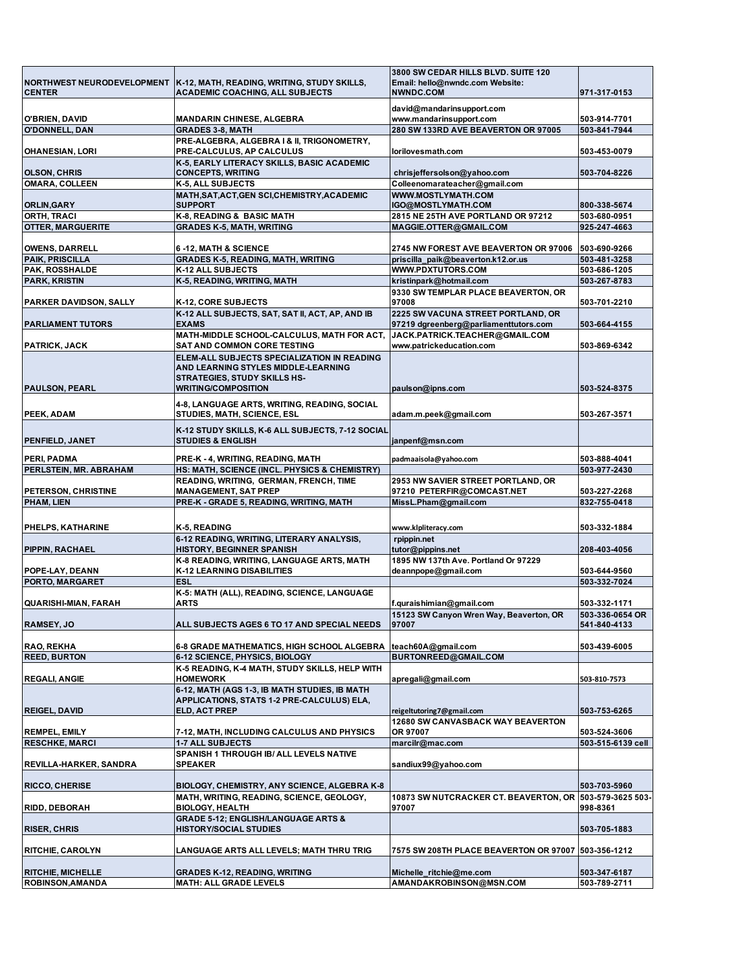|                                                 |                                                                                         | 3800 SW CEDAR HILLS BLVD, SUITE 120                     |                              |
|-------------------------------------------------|-----------------------------------------------------------------------------------------|---------------------------------------------------------|------------------------------|
|                                                 | NORTHWEST NEURODEVELOPMENT   K-12, MATH, READING, WRITING, STUDY SKILLS,                | Email: hello@nwndc.com Website:                         |                              |
| <b>CENTER</b>                                   | <b>ACADEMIC COACHING, ALL SUBJECTS</b>                                                  | NWNDC.COM                                               | 971-317-0153                 |
|                                                 |                                                                                         | david@mandarinsupport.com                               |                              |
| O'BRIEN, DAVID                                  | <b>MANDARIN CHINESE, ALGEBRA</b>                                                        | www.mandarinsupport.com                                 | 503-914-7701                 |
| <b>O'DONNELL, DAN</b>                           | <b>GRADES 3-8, MATH</b>                                                                 | 280 SW 133RD AVE BEAVERTON OR 97005                     | 503-841-7944                 |
| <b>OHANESIAN, LORI</b>                          | PRE-ALGEBRA, ALGEBRA I & II, TRIGONOMETRY,<br>PRE-CALCULUS, AP CALCULUS                 | lorilovesmath.com                                       | 503-453-0079                 |
|                                                 | K-5, EARLY LITERACY SKILLS, BASIC ACADEMIC                                              |                                                         |                              |
| <b>OLSON, CHRIS</b>                             | <b>CONCEPTS, WRITING</b>                                                                | chrisjeffersolson@yahoo.com                             | 503-704-8226                 |
| <b>OMARA, COLLEEN</b>                           | K-5, ALL SUBJECTS                                                                       | Colleenomarateacher@gmail.com                           |                              |
|                                                 | MATH, SAT, ACT, GEN SCI, CHEMISTRY, ACADEMIC                                            | <b>WWW.MOSTLYMATH.COM</b>                               |                              |
| ORLIN, GARY                                     | <b>SUPPORT</b>                                                                          | IGO@MOSTLYMATH.COM                                      | 800-338-5674                 |
| ORTH, TRACI                                     | K-8, READING & BASIC MATH                                                               | 2815 NE 25TH AVE PORTLAND OR 97212                      | 503-680-0951                 |
| <b>OTTER, MARGUERITE</b>                        | <b>GRADES K-5, MATH, WRITING</b>                                                        | MAGGIE.OTTER@GMAIL.COM                                  | 925-247-4663                 |
|                                                 |                                                                                         |                                                         |                              |
| <b>OWENS, DARRELL</b><br><b>PAIK, PRISCILLA</b> | 6-12, MATH & SCIENCE                                                                    | 2745 NW FOREST AVE BEAVERTON OR 97006                   | 503-690-9266<br>503-481-3258 |
| PAK, ROSSHALDE                                  | <b>GRADES K-5, READING, MATH, WRITING</b><br>K-12 ALL SUBJECTS                          | priscilla paik@beaverton.k12.or.us<br>WWW.PDXTUTORS.COM | 503-686-1205                 |
| <b>PARK, KRISTIN</b>                            | K-5, READING, WRITING, MATH                                                             | kristinpark@hotmail.com                                 | 503-267-8783                 |
|                                                 |                                                                                         | 9330 SW TEMPLAR PLACE BEAVERTON, OR                     |                              |
| <b>PARKER DAVIDSON, SALLY</b>                   | K-12, CORE SUBJECTS                                                                     | 97008                                                   | 503-701-2210                 |
|                                                 | K-12 ALL SUBJECTS, SAT, SAT II, ACT, AP, AND IB                                         | 2225 SW VACUNA STREET PORTLAND, OR                      |                              |
| <b>PARLIAMENT TUTORS</b>                        | <b>EXAMS</b>                                                                            | 97219 dgreenberg@parliamenttutors.com                   | 503-664-4155                 |
|                                                 | MATH-MIDDLE SCHOOL-CALCULUS, MATH FOR ACT,                                              | JACK.PATRICK.TEACHER@GMAIL.COM                          |                              |
| PATRICK, JACK                                   | SAT AND COMMON CORE TESTING                                                             | www.patrickeducation.com                                | 503-869-6342                 |
|                                                 | ELEM-ALL SUBJECTS SPECIALIZATION IN READING                                             |                                                         |                              |
|                                                 | AND LEARNING STYLES MIDDLE-LEARNING                                                     |                                                         |                              |
| <b>PAULSON, PEARL</b>                           | <b>STRATEGIES, STUDY SKILLS HS-</b>                                                     | paulson@ipns.com                                        |                              |
|                                                 | <b>WRITING/COMPOSITION</b>                                                              |                                                         | 503-524-8375                 |
|                                                 | 4-8, LANGUAGE ARTS, WRITING, READING, SOCIAL                                            |                                                         |                              |
| PEEK, ADAM                                      | STUDIES, MATH, SCIENCE, ESL                                                             | adam.m.peek@gmail.com                                   | 503-267-3571                 |
|                                                 | K-12 STUDY SKILLS, K-6 ALL SUBJECTS, 7-12 SOCIAL                                        |                                                         |                              |
| <b>PENFIELD, JANET</b>                          | <b>STUDIES &amp; ENGLISH</b>                                                            | janpenf@msn.com                                         |                              |
|                                                 |                                                                                         |                                                         |                              |
| PERI, PADMA                                     | PRE-K - 4, WRITING, READING, MATH                                                       | padmaaisola@yahoo.com                                   | 503-888-4041                 |
| PERLSTEIN, MR. ABRAHAM                          | HS: MATH, SCIENCE (INCL. PHYSICS & CHEMISTRY)<br>READING, WRITING, GERMAN, FRENCH, TIME | 2953 NW SAVIER STREET PORTLAND, OR                      | 503-977-2430                 |
| PETERSON, CHRISTINE                             | <b>MANAGEMENT, SAT PREP</b>                                                             | 97210 PETERFIR@COMCAST.NET                              | 503-227-2268                 |
| PHAM, LIEN                                      | PRE-K - GRADE 5, READING, WRITING, MATH                                                 | MissL.Pham@gmail.com                                    | 832-755-0418                 |
|                                                 |                                                                                         |                                                         |                              |
| PHELPS, KATHARINE                               | K-5, READING                                                                            | www.klpliteracy.com                                     | 503-332-1884                 |
|                                                 | 6-12 READING, WRITING, LITERARY ANALYSIS,                                               | rpippin.net                                             |                              |
| PIPPIN, RACHAEL                                 | <b>HISTORY, BEGINNER SPANISH</b>                                                        | tutor@pippins.net                                       | 208-403-4056                 |
|                                                 | K-8 READING, WRITING, LANGUAGE ARTS, MATH                                               | 1895 NW 137th Ave. Portland Or 97229                    |                              |
| POPE-LAY, DEANN                                 | K-12 LEARNING DISABILITIES                                                              | deannpope@gmail.com                                     | 503-644-9560                 |
| PORTO, MARGARET                                 | <b>ESL</b>                                                                              |                                                         | 503-332-7024                 |
|                                                 | K-5: MATH (ALL), READING, SCIENCE, LANGUAGE                                             |                                                         |                              |
| <b>QUARISHI-MIAN, FARAH</b>                     | ARTS                                                                                    | f.quraishimian@gmail.com                                | 503-332-1171                 |
|                                                 |                                                                                         | 15123 SW Canyon Wren Way, Beaverton, OR                 | 503-336-0654 OR              |
| <b>RAMSEY, JO</b>                               | ALL SUBJECTS AGES 6 TO 17 AND SPECIAL NEEDS                                             | 97007                                                   | 541-840-4133                 |
| RAO, REKHA                                      | 6-8 GRADE MATHEMATICS, HIGH SCHOOL ALGEBRA   teach60A@gmail.com                         |                                                         | 503-439-6005                 |
| <b>REED, BURTON</b>                             | 6-12 SCIENCE, PHYSICS, BIOLOGY                                                          | BURTONREED@GMAIL.COM                                    |                              |
|                                                 | K-5 READING, K-4 MATH, STUDY SKILLS, HELP WITH                                          |                                                         |                              |
| <b>REGALI, ANGIE</b>                            | <b>HOMEWORK</b>                                                                         | apregali@gmail.com                                      | 503-810-7573                 |
|                                                 | 6-12, MATH (AGS 1-3, IB MATH STUDIES, IB MATH                                           |                                                         |                              |
|                                                 | APPLICATIONS, STATS 1-2 PRE-CALCULUS) ELA,                                              |                                                         |                              |
| <b>REIGEL, DAVID</b>                            | ELD, ACT PREP                                                                           | reigeltutoring7@gmail.com                               | 503-753-6265                 |
|                                                 |                                                                                         | 12680 SW CANVASBACK WAY BEAVERTON                       |                              |
| <b>REMPEL, EMILY</b>                            | 7-12, MATH, INCLUDING CALCULUS AND PHYSICS                                              | OR 97007                                                | 503-524-3606                 |
| <b>RESCHKE, MARCI</b>                           | <b>1-7 ALL SUBJECTS</b>                                                                 | marcilr@mac.com                                         | 503-515-6139 cell            |
| REVILLA-HARKER, SANDRA                          | SPANISH 1 THROUGH IB/ ALL LEVELS NATIVE<br><b>SPEAKER</b>                               | sandiux99@yahoo.com                                     |                              |
|                                                 |                                                                                         |                                                         |                              |
| <b>RICCO, CHERISE</b>                           | BIOLOGY, CHEMISTRY, ANY SCIENCE, ALGEBRA K-8                                            |                                                         | 503-703-5960                 |
|                                                 | MATH, WRITING, READING, SCIENCE, GEOLOGY,                                               | 10873 SW NUTCRACKER CT. BEAVERTON, OR 503-579-3625 503- |                              |
| <b>RIDD, DEBORAH</b>                            | <b>BIOLOGY, HEALTH</b>                                                                  | 97007                                                   | 998-8361                     |
|                                                 | <b>GRADE 5-12; ENGLISH/LANGUAGE ARTS &amp;</b>                                          |                                                         |                              |
| <b>RISER, CHRIS</b>                             | <b>HISTORY/SOCIAL STUDIES</b>                                                           |                                                         | 503-705-1883                 |
|                                                 |                                                                                         |                                                         |                              |
| <b>RITCHIE, CAROLYN</b>                         | LANGUAGE ARTS ALL LEVELS; MATH THRU TRIG                                                | 7575 SW 208TH PLACE BEAVERTON OR 97007   503-356-1212   |                              |
|                                                 |                                                                                         |                                                         |                              |
| <b>RITCHIE, MICHELLE</b>                        | <b>GRADES K-12, READING, WRITING</b>                                                    | Michelle ritchie@me.com                                 | 503-347-6187                 |
| <b>ROBINSON, AMANDA</b>                         | <b>MATH: ALL GRADE LEVELS</b>                                                           | AMANDAKROBINSON@MSN.COM                                 | 503-789-2711                 |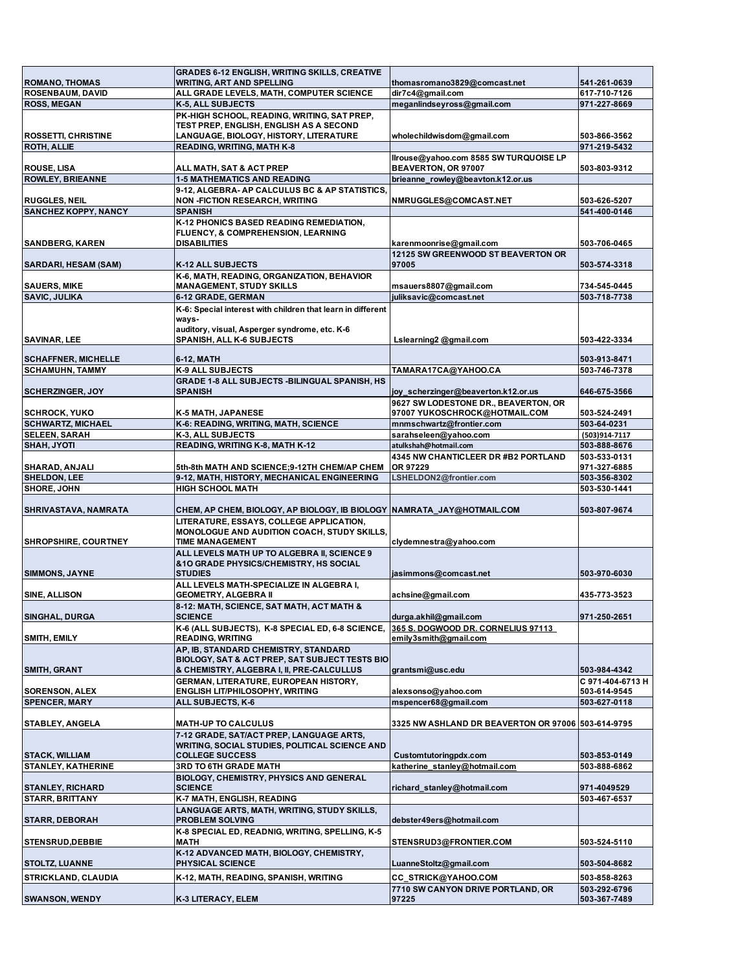| <b>ROMANO, THOMAS</b>                                | <b>GRADES 6-12 ENGLISH, WRITING SKILLS, CREATIVE</b><br><b>WRITING, ART AND SPELLING</b>                                         | thomasromano3829@comcast.net                                          | 541-261-0639                     |
|------------------------------------------------------|----------------------------------------------------------------------------------------------------------------------------------|-----------------------------------------------------------------------|----------------------------------|
| <b>ROSENBAUM, DAVID</b>                              | ALL GRADE LEVELS, MATH, COMPUTER SCIENCE                                                                                         | dir7c4@gmail.com                                                      | 617-710-7126                     |
| <b>ROSS, MEGAN</b>                                   | K-5, ALL SUBJECTS                                                                                                                | meganlindseyross@gmail.com                                            | 971-227-8669                     |
| <b>ROSSETTI, CHRISTINE</b>                           | PK-HIGH SCHOOL, READING, WRITING, SAT PREP,<br>TEST PREP, ENGLISH, ENGLISH AS A SECOND<br>LANGUAGE, BIOLOGY, HISTORY, LITERATURE | wholechildwisdom@gmail.com                                            | 503-866-3562                     |
| <b>ROTH, ALLIE</b>                                   | READING, WRITING, MATH K-8                                                                                                       |                                                                       | 971-219-5432                     |
| <b>ROUSE, LISA</b>                                   | ALL MATH, SAT & ACT PREP                                                                                                         | Ilrouse@yahoo.com 8585 SW TURQUOISE LP<br>BEAVERTON, OR 97007         | 503-803-9312                     |
| <b>ROWLEY, BRIEANNE</b>                              | <b>1-5 MATHEMATICS AND READING</b>                                                                                               | brieanne rowley@beavton.k12.or.us                                     |                                  |
| <b>RUGGLES, NEIL</b>                                 | 9-12, ALGEBRA- AP CALCULUS BC & AP STATISTICS.<br><b>NON -FICTION RESEARCH, WRITING</b>                                          | NMRUGGLES@COMCAST.NET                                                 | 503-626-5207                     |
| <b>SANCHEZ KOPPY, NANCY</b>                          | <b>SPANISH</b>                                                                                                                   |                                                                       | 541-400-0146                     |
|                                                      | K-12 PHONICS BASED READING REMEDIATION,                                                                                          |                                                                       |                                  |
| <b>SANDBERG, KAREN</b>                               | FLUENCY, & COMPREHENSION, LEARNING<br><b>DISABILITIES</b>                                                                        | karenmoonrise@gmail.com                                               | 503-706-0465                     |
| <b>SARDARI, HESAM (SAM)</b>                          | <b>K-12 ALL SUBJECTS</b>                                                                                                         | 12125 SW GREENWOOD ST BEAVERTON OR<br>97005                           | 503-574-3318                     |
|                                                      | K-6, MATH, READING, ORGANIZATION, BEHAVIOR                                                                                       |                                                                       |                                  |
| <b>SAUERS, MIKE</b>                                  | <b>MANAGEMENT, STUDY SKILLS</b>                                                                                                  | msauers8807@gmail.com                                                 | 734-545-0445                     |
| <b>SAVIC, JULIKA</b>                                 | 6-12 GRADE, GERMAN                                                                                                               | juliksavic@comcast.net                                                | 503-718-7738                     |
|                                                      | K-6: Special interest with children that learn in different<br>ways-                                                             |                                                                       |                                  |
| <b>SAVINAR, LEE</b>                                  | auditory, visual, Asperger syndrome, etc. K-6<br><b>SPANISH, ALL K-6 SUBJECTS</b>                                                | Lslearning2 @gmail.com                                                | 503-422-3334                     |
|                                                      |                                                                                                                                  |                                                                       |                                  |
| <b>SCHAFFNER, MICHELLE</b><br><b>SCHAMUHN, TAMMY</b> | 6-12. MATH<br><b>K-9 ALL SUBJECTS</b>                                                                                            | TAMARA17CA@YAHOO.CA                                                   | 503-913-8471<br>503-746-7378     |
|                                                      | GRADE 1-8 ALL SUBJECTS -BILINGUAL SPANISH, HS                                                                                    |                                                                       |                                  |
| <b>SCHERZINGER, JOY</b>                              | <b>SPANISH</b>                                                                                                                   | joy_scherzinger@beaverton.k12.or.us                                   | 646-675-3566                     |
| <b>SCHROCK, YUKO</b>                                 | K-5 MATH, JAPANESE                                                                                                               | 9627 SW LODESTONE DR., BEAVERTON, OR<br>97007 YUKOSCHROCK@HOTMAIL.COM | 503-524-2491                     |
| <b>SCHWARTZ, MICHAEL</b>                             | K-6: READING, WRITING, MATH, SCIENCE                                                                                             | mnmschwartz@frontier.com                                              | 503-64-0231                      |
| <b>SELEEN, SARAH</b>                                 | K-3, ALL SUBJECTS                                                                                                                | sarahseleen@yahoo.com                                                 | (503)914-7117                    |
| <b>SHAH, JYOTI</b>                                   | READING, WRITING K-8, MATH K-12                                                                                                  | atulkshah@hotmail.com                                                 | 503-888-8676                     |
|                                                      |                                                                                                                                  | 4345 NW CHANTICLEER DR #B2 PORTLAND<br>OR 97229                       | 503-533-0131<br>971-327-6885     |
| SHARAD, ANJALI<br><b>SHELDON, LEE</b>                | 5th-8th MATH AND SCIENCE;9-12TH CHEM/AP CHEM<br>9-12, MATH, HISTORY, MECHANICAL ENGINEERING                                      | LSHELDON2@frontier.com                                                | 503-356-8302                     |
| <b>SHORE, JOHN</b>                                   | <b>HIGH SCHOOL MATH</b>                                                                                                          |                                                                       | 503-530-1441                     |
|                                                      |                                                                                                                                  |                                                                       | 503-807-9674                     |
| SHRIVASTAVA, NAMRATA                                 | CHEM, AP CHEM, BIOLOGY, AP BIOLOGY, IB BIOLOGY  NAMRATA  JAY@HOTMAIL.COM<br>LITERATURE, ESSAYS, COLLEGE APPLICATION,             |                                                                       |                                  |
| <b>SHROPSHIRE, COURTNEY</b>                          | MONOLOGUE AND AUDITION COACH, STUDY SKILLS,<br><b>TIME MANAGEMENT</b>                                                            | clydemnestra@yahoo.com                                                |                                  |
|                                                      | ALL LEVELS MATH UP TO ALGEBRA II, SCIENCE 9                                                                                      |                                                                       |                                  |
| <b>SIMMONS, JAYNE</b>                                | & 10 GRADE PHYSICS/CHEMISTRY, HS SOCIAL<br><b>STUDIES</b>                                                                        | jasimmons@comcast.net                                                 | 503-970-6030                     |
|                                                      | ALL LEVELS MATH-SPECIALIZE IN ALGEBRA I,                                                                                         |                                                                       |                                  |
| <b>SINE, ALLISON</b>                                 | <b>GEOMETRY, ALGEBRA II</b><br>8-12: MATH, SCIENCE, SAT MATH, ACT MATH &                                                         | achsine@gmail.com                                                     | 435-773-3523                     |
| <b>SINGHAL, DURGA</b>                                | <b>SCIENCE</b>                                                                                                                   | durga.akhil@gmail.com                                                 | 971-250-2651                     |
|                                                      | K-6 (ALL SUBJECTS), K-8 SPECIAL ED, 6-8 SCIENCE,                                                                                 | 365 S. DOGWOOD DR. CORNELIUS 97113                                    |                                  |
| SMITH, EMILY                                         | <b>READING, WRITING</b>                                                                                                          | emily3smith@gmail.com                                                 |                                  |
|                                                      | AP, IB, STANDARD CHEMISTRY, STANDARD                                                                                             |                                                                       |                                  |
|                                                      | BIOLOGY, SAT & ACT PREP, SAT SUBJECT TESTS BIO                                                                                   |                                                                       |                                  |
| <b>SMITH, GRANT</b>                                  | & CHEMISTRY, ALGEBRA I, II, PRE-CALCULLUS                                                                                        | grantsmi@usc.edu                                                      | 503-984-4342                     |
| <b>SORENSON, ALEX</b>                                | GERMAN, LITERATURE, EUROPEAN HISTORY,<br>ENGLISH LIT/PHILOSOPHY, WRITING                                                         | alexsonso@yahoo.com                                                   | C 971-404-6713 H<br>503-614-9545 |
| <b>SPENCER, MARY</b>                                 | ALL SUBJECTS, K-6                                                                                                                | mspencer68@gmail.com                                                  | 503-627-0118                     |
|                                                      |                                                                                                                                  |                                                                       |                                  |
| STABLEY, ANGELA                                      | <b>MATH-UP TO CALCULUS</b>                                                                                                       | 3325 NW ASHLAND DR BEAVERTON OR 97006 503-614-9795                    |                                  |
|                                                      | 7-12 GRADE, SAT/ACT PREP, LANGUAGE ARTS,                                                                                         |                                                                       |                                  |
|                                                      | <b>WRITING, SOCIAL STUDIES, POLITICAL SCIENCE AND</b>                                                                            |                                                                       |                                  |
| <b>STACK, WILLIAM</b>                                | <b>COLLEGE SUCCESS</b>                                                                                                           | Customtutoringpdx.com                                                 | 503-853-0149                     |
| <b>STANLEY, KATHERINE</b>                            | 3RD TO 6TH GRADE MATH                                                                                                            | katherine stanley@hotmail.com                                         | 503-888-6862                     |
|                                                      | <b>BIOLOGY, CHEMISTRY, PHYSICS AND GENERAL</b>                                                                                   |                                                                       |                                  |
| <b>STANLEY, RICHARD</b>                              | <b>SCIENCE</b>                                                                                                                   | richard stanley@hotmail.com                                           | 971-4049529                      |
| <b>STARR, BRITTANY</b>                               | K-7 MATH, ENGLISH, READING                                                                                                       |                                                                       | 503-467-6537                     |
| <b>STARR, DEBORAH</b>                                | LANGUAGE ARTS, MATH, WRITING, STUDY SKILLS,<br><b>PROBLEM SOLVING</b>                                                            | debster49ers@hotmail.com                                              |                                  |
| <b>STENSRUD, DEBBIE</b>                              | K-8 SPECIAL ED, READNIG, WRITING, SPELLING, K-5<br><b>MATH</b>                                                                   | STENSRUD3@FRONTIER.COM                                                | 503-524-5110                     |
|                                                      | K-12 ADVANCED MATH, BIOLOGY, CHEMISTRY,                                                                                          |                                                                       |                                  |
| <b>STOLTZ, LUANNE</b>                                | <b>PHYSICAL SCIENCE</b>                                                                                                          | LuanneStoltz@gmail.com                                                | 503-504-8682                     |
| <b>STRICKLAND, CLAUDIA</b>                           | K-12, MATH, READING, SPANISH, WRITING                                                                                            | <b>CC STRICK@YAHOO.COM</b>                                            | 503-858-8263                     |
|                                                      |                                                                                                                                  | 7710 SW CANYON DRIVE PORTLAND, OR                                     | 503-292-6796                     |
| <b>SWANSON, WENDY</b>                                | K-3 LITERACY, ELEM                                                                                                               | 97225                                                                 | 503-367-7489                     |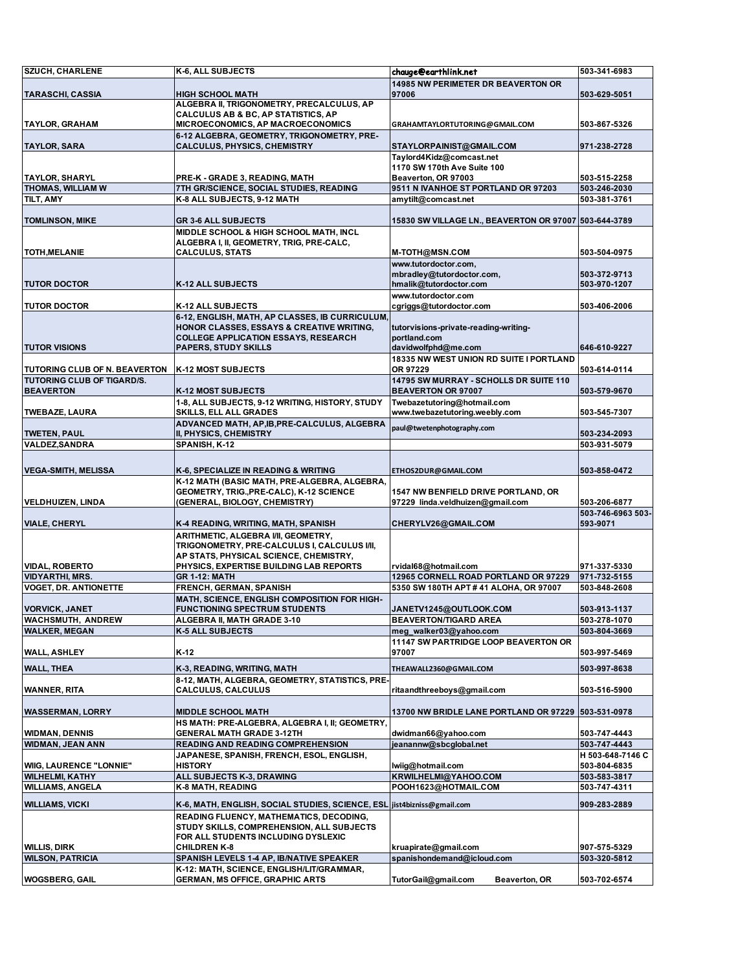| <b>SZUCH, CHARLENE</b>                            | K-6, ALL SUBJECTS                                                                        | chauge@earthlink.net                                                    | 503-341-6983                 |
|---------------------------------------------------|------------------------------------------------------------------------------------------|-------------------------------------------------------------------------|------------------------------|
|                                                   |                                                                                          | <b>14985 NW PERIMETER DR BEAVERTON OR</b>                               |                              |
| <b>TARASCHI, CASSIA</b>                           | <b>HIGH SCHOOL MATH</b>                                                                  | 97006                                                                   | 503-629-5051                 |
|                                                   | ALGEBRA II, TRIGONOMETRY, PRECALCULUS, AP                                                |                                                                         |                              |
| <b>TAYLOR, GRAHAM</b>                             | CALCULUS AB & BC, AP STATISTICS, AP<br>MICROECONOMICS, AP MACROECONOMICS                 |                                                                         | 503-867-5326                 |
|                                                   | 6-12 ALGEBRA, GEOMETRY, TRIGONOMETRY, PRE-                                               | GRAHAMTAYLORTUTORING@GMAIL.COM                                          |                              |
| <b>TAYLOR, SARA</b>                               | <b>CALCULUS, PHYSICS, CHEMISTRY</b>                                                      | STAYLORPAINIST@GMAIL.COM                                                | 971-238-2728                 |
|                                                   |                                                                                          | Taylord4Kidz@comcast.net                                                |                              |
|                                                   |                                                                                          | 1170 SW 170th Ave Suite 100                                             |                              |
| <b>TAYLOR, SHARYL</b>                             | PRE-K - GRADE 3, READING, MATH                                                           | Beaverton, OR 97003                                                     | 503-515-2258                 |
| THOMAS, WILLIAM W                                 | 7TH GR/SCIENCE, SOCIAL STUDIES, READING                                                  | 9511 N IVANHOE ST PORTLAND OR 97203                                     | 503-246-2030                 |
| TILT, AMY                                         | K-8 ALL SUBJECTS, 9-12 MATH                                                              | amytilt@comcast.net                                                     | 503-381-3761                 |
| <b>TOMLINSON, MIKE</b>                            |                                                                                          |                                                                         |                              |
|                                                   | <b>GR 3-6 ALL SUBJECTS</b><br>MIDDLE SCHOOL & HIGH SCHOOL MATH, INCL                     | 15830 SW VILLAGE LN., BEAVERTON OR 97007 503-644-3789                   |                              |
|                                                   | ALGEBRA I, II, GEOMETRY, TRIG, PRE-CALC,                                                 |                                                                         |                              |
| <b>TOTH, MELANIE</b>                              | <b>CALCULUS, STATS</b>                                                                   | M-TOTH@MSN.COM                                                          | 503-504-0975                 |
|                                                   |                                                                                          | www.tutordoctor.com,                                                    |                              |
|                                                   |                                                                                          | mbradley@tutordoctor.com,                                               | 503-372-9713                 |
| <b>TUTOR DOCTOR</b>                               | K-12 ALL SUBJECTS                                                                        | hmalik@tutordoctor.com                                                  | 503-970-1207                 |
|                                                   |                                                                                          | www.tutordoctor.com                                                     |                              |
| <b>TUTOR DOCTOR</b>                               | <b>K-12 ALL SUBJECTS</b>                                                                 | cgriggs@tutordoctor.com                                                 | 503-406-2006                 |
|                                                   | 6-12, ENGLISH, MATH, AP CLASSES, IB CURRICULUM,                                          |                                                                         |                              |
|                                                   | HONOR CLASSES, ESSAYS & CREATIVE WRITING,<br><b>COLLEGE APPLICATION ESSAYS, RESEARCH</b> | tutorvisions-private-reading-writing-<br>portland.com                   |                              |
| <b>TUTOR VISIONS</b>                              | <b>PAPERS, STUDY SKILLS</b>                                                              | davidwolfphd@me.com                                                     | 646-610-9227                 |
|                                                   |                                                                                          | 18335 NW WEST UNION RD SUITE I PORTLAND                                 |                              |
| TUTORING CLUB OF N. BEAVERTON                     | K-12 MOST SUBJECTS                                                                       | OR 97229                                                                | 503-614-0114                 |
| TUTORING CLUB OF TIGARD/S.                        |                                                                                          | 14795 SW MURRAY - SCHOLLS DR SUITE 110                                  |                              |
| <b>BEAVERTON</b>                                  | <b>K-12 MOST SUBJECTS</b>                                                                | <b>BEAVERTON OR 97007</b>                                               | 503-579-9670                 |
|                                                   | 1-8, ALL SUBJECTS, 9-12 WRITING, HISTORY, STUDY                                          | Twebazetutoring@hotmail.com                                             |                              |
| <b>TWEBAZE, LAURA</b>                             | SKILLS, ELL ALL GRADES                                                                   | www.twebazetutoring.weebly.com                                          | 503-545-7307                 |
|                                                   | ADVANCED MATH, AP, IB, PRE-CALCULUS, ALGEBRA                                             | paul@twetenphotography.com                                              |                              |
| <b>TWETEN, PAUL</b>                               | II, PHYSICS, CHEMISTRY                                                                   |                                                                         | 503-234-2093                 |
| <b>VALDEZ, SANDRA</b>                             | SPANISH, K-12                                                                            |                                                                         | 503-931-5079                 |
|                                                   |                                                                                          |                                                                         |                              |
| <b>VEGA-SMITH, MELISSA</b>                        | K-6, SPECIALIZE IN READING & WRITING                                                     | ETHOS2DUR@GMAIL.COM                                                     | 503-858-0472                 |
|                                                   | K-12 MATH (BASIC MATH, PRE-ALGEBRA, ALGEBRA,                                             |                                                                         |                              |
| <b>VELDHUIZEN, LINDA</b>                          | GEOMETRY, TRIG., PRE-CALC), K-12 SCIENCE<br>(GENERAL, BIOLOGY, CHEMISTRY)                | 1547 NW BENFIELD DRIVE PORTLAND, OR<br>97229 linda.veldhuizen@gmail.com | 503-206-6877                 |
|                                                   |                                                                                          |                                                                         | 503-746-6963 503-            |
| <b>VIALE, CHERYL</b>                              | K-4 READING, WRITING, MATH, SPANISH                                                      | CHERYLV26@GMAIL.COM                                                     | 593-9071                     |
|                                                   | ARITHMETIC, ALGEBRA I/II, GEOMETRY,                                                      |                                                                         |                              |
|                                                   | TRIGONOMETRY, PRE-CALCULUS I, CALCULUS I/II,                                             |                                                                         |                              |
|                                                   | AP STATS, PHYSICAL SCIENCE, CHEMISTRY,                                                   |                                                                         |                              |
| <b>VIDAL, ROBERTO</b>                             | PHYSICS, EXPERTISE BUILDING LAB REPORTS                                                  | rvidal68@hotmail.com                                                    | 971-337-5330                 |
| <b>VIDYARTHI, MRS.</b>                            | <b>GR 1-12: MATH</b>                                                                     | 12965 CORNELL ROAD PORTLAND OR 97229                                    | 971-732-5155                 |
| <b>VOGET, DR. ANTIONETTE</b>                      | FRENCH, GERMAN, SPANISH                                                                  | 5350 SW 180TH APT #41 ALOHA, OR 97007                                   | 503-848-2608                 |
|                                                   | MATH, SCIENCE, ENGLISH COMPOSITION FOR HIGH-                                             |                                                                         | 503-913-1137                 |
| <b>VORVICK, JANET</b><br>WACHSMUTH, ANDREW        | <b>FUNCTIONING SPECTRUM STUDENTS</b><br>ALGEBRA II, MATH GRADE 3-10                      | JANETV1245@OUTLOOK.COM<br><b>BEAVERTON/TIGARD AREA</b>                  | 503-278-1070                 |
| <b>WALKER, MEGAN</b>                              | <b>K-5 ALL SUBJECTS</b>                                                                  | meg_walker03@yahoo.com                                                  | 503-804-3669                 |
|                                                   |                                                                                          | 11147 SW PARTRIDGE LOOP BEAVERTON OR                                    |                              |
| <b>WALL, ASHLEY</b>                               | K-12                                                                                     | 97007                                                                   | 503-997-5469                 |
| <b>WALL, THEA</b>                                 | K-3, READING, WRITING, MATH                                                              | THEAWALL2360@GMAIL.COM                                                  | 503-997-8638                 |
|                                                   | 8-12, MATH, ALGEBRA, GEOMETRY, STATISTICS, PRE-                                          |                                                                         |                              |
| <b>WANNER, RITA</b>                               | CALCULUS, CALCULUS                                                                       | ritaandthreeboys@gmail.com                                              | 503-516-5900                 |
|                                                   |                                                                                          |                                                                         |                              |
| <b>WASSERMAN, LORRY</b>                           | <b>MIDDLE SCHOOL MATH</b>                                                                | 13700 NW BRIDLE LANE PORTLAND OR 97229 503-531-0978                     |                              |
|                                                   | HS MATH: PRE-ALGEBRA, ALGEBRA I, II; GEOMETRY,                                           |                                                                         |                              |
| <b>WIDMAN, DENNIS</b>                             | <b>GENERAL MATH GRADE 3-12TH</b>                                                         | dwidman66@yahoo.com                                                     | 503-747-4443                 |
| <b>WIDMAN, JEAN ANN</b>                           | READING AND READING COMPREHENSION                                                        | jeanannw@sbcglobal.net                                                  | 503-747-4443                 |
|                                                   | JAPANESE, SPANISH, FRENCH, ESOL, ENGLISH,                                                |                                                                         | H 503-648-7146 C             |
| <b>WIIG, LAURENCE "LONNIE"</b>                    | <b>HISTORY</b>                                                                           | lwiig@hotmail.com                                                       | 503-804-6835                 |
| <b>WILHELMI, KATHY</b><br><b>WILLIAMS, ANGELA</b> | ALL SUBJECTS K-3, DRAWING<br>K-8 MATH, READING                                           | KRWILHELMI@YAHOO.COM<br>POOH1623@HOTMAIL.COM                            | 503-583-3817<br>503-747-4311 |
|                                                   |                                                                                          |                                                                         |                              |
| <b>WILLIAMS, VICKI</b>                            | K-6, MATH, ENGLISH, SOCIAL STUDIES, SCIENCE, ESL jist4bizniss@gmail.com                  |                                                                         | 909-283-2889                 |
|                                                   | READING FLUENCY, MATHEMATICS, DECODING,                                                  |                                                                         |                              |
|                                                   | STUDY SKILLS, COMPREHENSION, ALL SUBJECTS                                                |                                                                         |                              |
|                                                   | FOR ALL STUDENTS INCLUDING DYSLEXIC                                                      |                                                                         |                              |
| <b>WILLIS, DIRK</b>                               | <b>CHILDREN K-8</b>                                                                      | kruapirate@gmail.com                                                    | 907-575-5329                 |
| <b>WILSON, PATRICIA</b>                           | SPANISH LEVELS 1-4 AP, IB/NATIVE SPEAKER                                                 | spanishondemand@icloud.com                                              | 503-320-5812                 |
| <b>WOGSBERG, GAIL</b>                             | K-12: MATH, SCIENCE, ENGLISH/LIT/GRAMMAR,<br><b>GERMAN, MS OFFICE, GRAPHIC ARTS</b>      | TutorGail@gmail.com<br>Beaverton, OR                                    | 503-702-6574                 |
|                                                   |                                                                                          |                                                                         |                              |